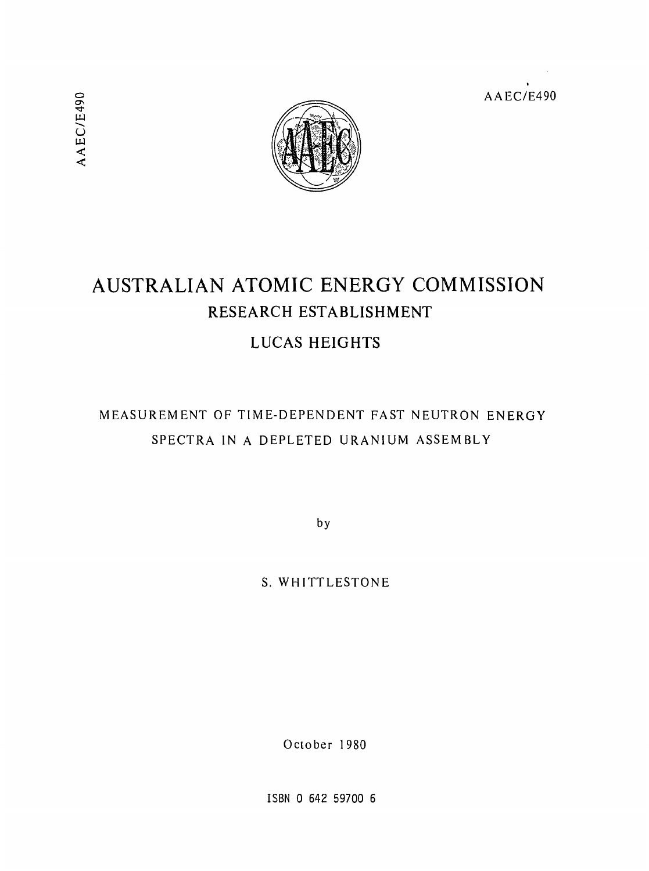AAEC/E490



# AUSTRALIAN ATOMIC ENERGY COMMISSION RESEARCH ESTABLISHMENT LUCAS HEIGHTS

# MEASUREMENT OF TIME-DEPENDENT FAST NEUTRON ENERGY SPECTRA IN A DEPLETED URANIUM ASSEMBLY

by

S. WHITTLESTONE

October 1980

ISBN 0 642 59700 6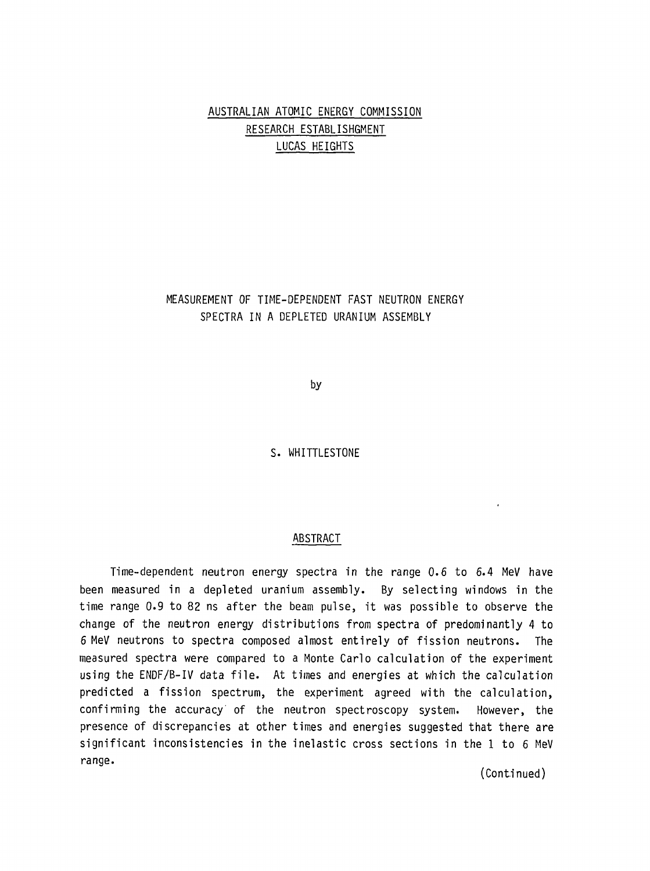## AUSTRALIAN ATOMIC ENERGY COMMISSION RESEARCH ESTABLISHGMENT LUCAS HEIGHTS

MEASUREMENT OF TIME-DEPENDENT FAST NEUTRON ENERGY SPECTRA IN A DEPLETED URANIUM ASSEMBLY

by

S. WHITTLESTONE

#### ABSTRACT

Time-dependent neutron energy spectra in the range 0.6 to 6.4 MeV have been measured in a depleted uranium assembly. By selecting windows in the time range 0.9 to 82 ns after the beam pulse, it was possible to observe the change of the neutron energy distributions from spectra of predominantly 4 to 6 MeV neutrons to spectra composed almost entirely of fission neutrons. The measured spectra were compared to a Monte Carlo calculation of the experiment using the ENDF/B-IV data file. At times and energies at which the calculation predicted a fission spectrum, the experiment agreed with the calculation, confirming the accuracy of the neutron spectroscopy system. However, the presence of discrepancies at other times and energies suggested that there are significant inconsistencies in the inelastic cross sections in the 1 to 6 MeV range.

(Continued)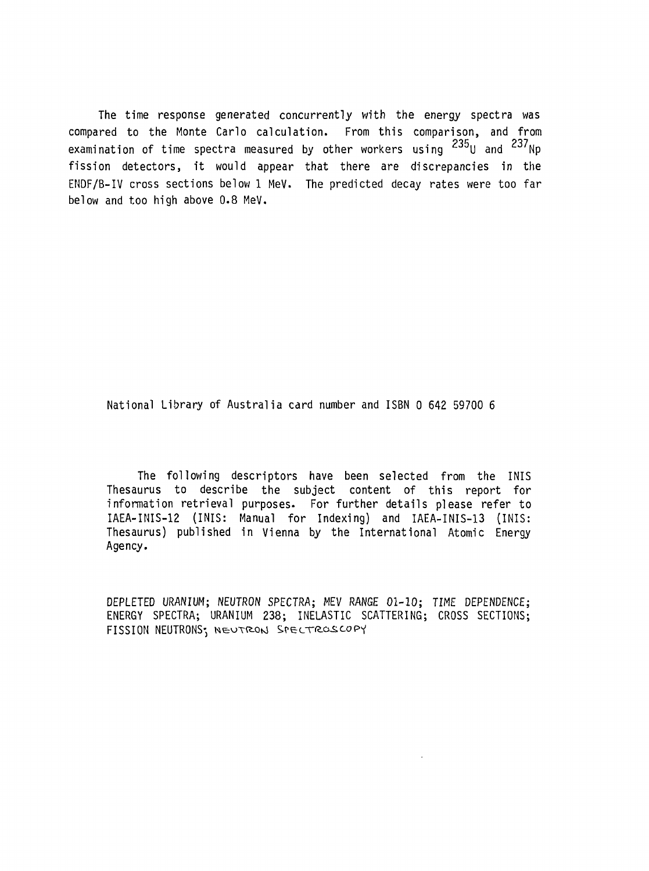The time response generated concurrently with the energy spectra was compared to the Monte Carlo calculation. From this comparison, and from examination of time spectra measured by other workers using  $^{235}$ U and  $^{237}$ Np fission detectors, it would appear that there are discrepancies in the ENDF/B-IV cross sections below 1 MeV. The predicted decay rates were too far below and too high above 0.8 MeV.

National Library of Australia card number and ISBN 0 642 59700 6

The following descriptors have been selected from the INIS Thesaurus to describe the subject content of this report for information retrieval purposes. For further details please refer to IAEA-INIS-12 (INIS: Manual for Indexing) and IAEA-INIS-13 (INIS: Thesaurus) published in Vienna by the International Atomic Energy Agency.

DEPLETED URANIUM; NEUTRON SPECTRA; MEV RANGE 01-10; TIME DEPENDENCE; ENERGY SPECTRA; URANIUM 238; INELASTIC SCATTERING; CROSS SECTIONS; FISSION NEUTRONS; NEUTRON SPECTROSCOPY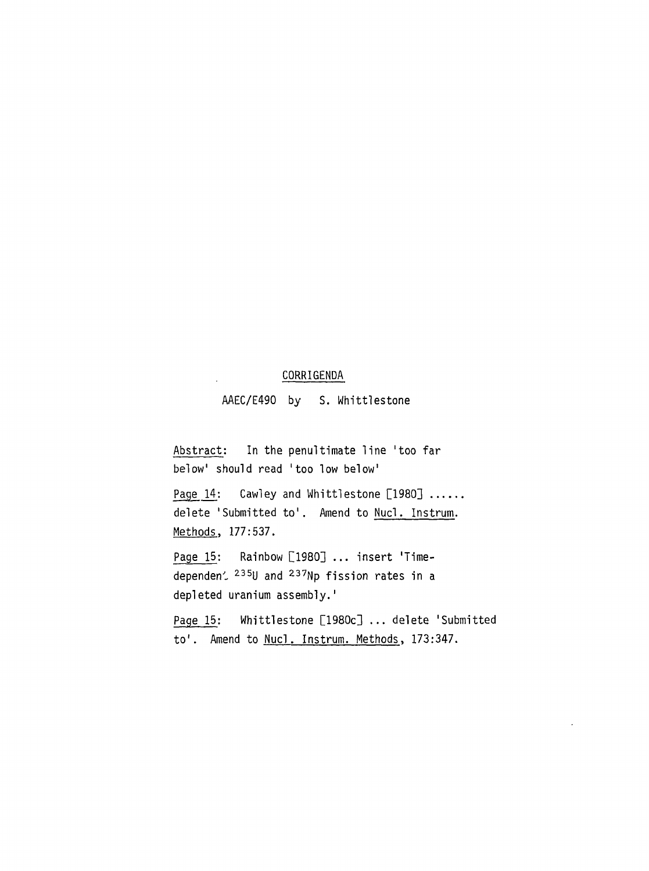#### CORRIGENDA

AAEC/E490 by S. Whittlestone

Abstract: In the penultimate line 'too far below' should read 'too low below'

Page 14: Cawley and Whittlestone [1980] ...... delete 'Submitted to'. Amend to Nucl. Instrum. Methods, 177:537.

Page 15: Rainbow [1980] ... insert 'Timedependen $\stackrel{235}{\sim}$  and  $\stackrel{237}{\sim}$ Np fission rates in a depleted uranium assembly.'

Page 15: Whittlestone [1980c] ... delete 'Submitted to'. Amend to Nucl. Instrum. Methods, 173:347.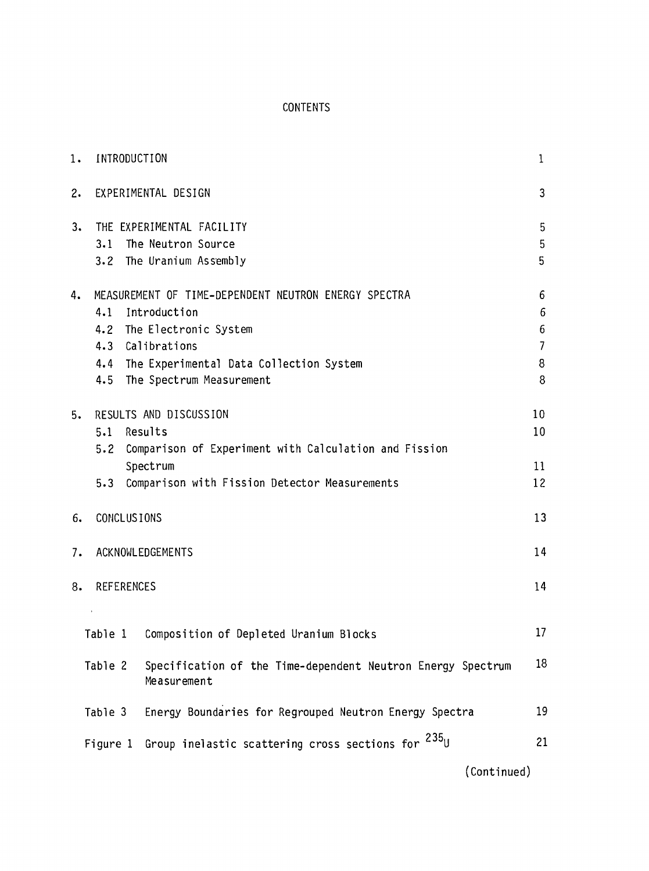### CONTENTS

| 1. | INTRODUCTION                                                                                                                                                                                                |                                                                             |             |  |  |  |  |  |  |  |
|----|-------------------------------------------------------------------------------------------------------------------------------------------------------------------------------------------------------------|-----------------------------------------------------------------------------|-------------|--|--|--|--|--|--|--|
| 2. |                                                                                                                                                                                                             | EXPERIMENTAL DESIGN                                                         | 3           |  |  |  |  |  |  |  |
| 3. | 3.1                                                                                                                                                                                                         | THE EXPERIMENTAL FACILITY<br>The Neutron Source<br>3.2 The Uranium Assembly | 5<br>5<br>5 |  |  |  |  |  |  |  |
| 4. | MEASUREMENT OF TIME-DEPENDENT NEUTRON ENERGY SPECTRA<br>4.1<br>Introduction<br>4.2 The Electronic System<br>4.3 Calibrations<br>4.4 The Experimental Data Collection System<br>4.5 The Spectrum Measurement |                                                                             |             |  |  |  |  |  |  |  |
| 5. | RESULTS AND DISCUSSION<br>Results<br>5.1<br>Comparison of Experiment with Calculation and Fission<br>5.2<br>Spectrum<br>Comparison with Fission Detector Measurements<br>5.3                                |                                                                             |             |  |  |  |  |  |  |  |
| 6. | <b>CONCLUSIONS</b>                                                                                                                                                                                          |                                                                             | 13          |  |  |  |  |  |  |  |
| 7. |                                                                                                                                                                                                             | ACKNOWLEDGEMENTS                                                            | 14          |  |  |  |  |  |  |  |
| 8. | <b>REFERENCES</b>                                                                                                                                                                                           |                                                                             | 14          |  |  |  |  |  |  |  |
|    |                                                                                                                                                                                                             | Table 1 Composition of Depleted Uranium Blocks                              | 17          |  |  |  |  |  |  |  |
|    | Table 2                                                                                                                                                                                                     | Specification of the Time-dependent Neutron Energy Spectrum<br>Measurement  |             |  |  |  |  |  |  |  |
|    | Table 3                                                                                                                                                                                                     | Energy Boundaries for Regrouped Neutron Energy Spectra                      | 19          |  |  |  |  |  |  |  |
|    | Figure 1 Group inelastic scattering cross sections for $^{235}$ U                                                                                                                                           |                                                                             |             |  |  |  |  |  |  |  |

(Continued)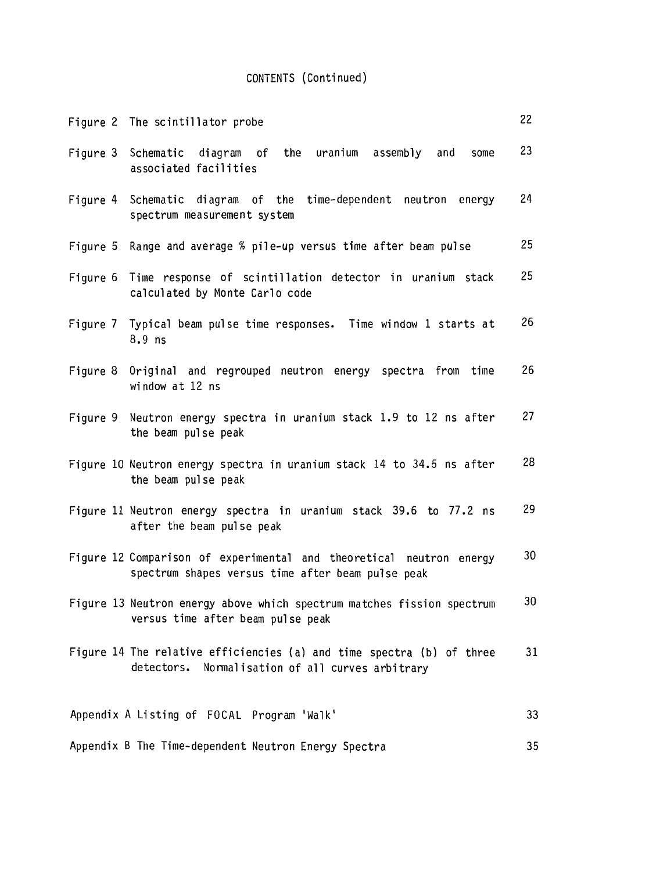## CONTENTS (Continued)

| Figure 2 The scintillator probe                                                                                           | 22              |
|---------------------------------------------------------------------------------------------------------------------------|-----------------|
| Figure 3 Schematic diagram of the uranium assembly and<br>some<br>associated facilities                                   | 23              |
| Figure 4 Schematic diagram of the time-dependent neutron energy<br>spectrum measurement system                            | 24              |
| Figure 5 Range and average % pile-up versus time after beam pulse                                                         | 25              |
| Figure 6 Time response of scintillation detector in uranium stack<br>calculated by Monte Carlo code                       | 25              |
| Figure 7 Typical beam pulse time responses. Time window 1 starts at<br>$8.9$ ns                                           | 26              |
| Figure 8 Original and regrouped neutron energy spectra from time<br>window at 12 ns                                       | 26              |
| Figure 9 Neutron energy spectra in uranium stack 1.9 to 12 ns after<br>the beam pulse peak                                | 27              |
| Figure 10 Neutron energy spectra in uranium stack 14 to 34.5 ns after<br>the beam pulse peak                              | 28              |
| Figure 11 Neutron energy spectra in uranium stack 39.6 to 77.2 ns<br>after the beam pulse peak                            | 29              |
| Figure 12 Comparison of experimental and theoretical neutron energy<br>spectrum shapes versus time after beam pulse peak  | 30              |
| Figure 13 Neutron energy above which spectrum matches fission spectrum<br>versus time after beam pulse peak               | 30 <sub>1</sub> |
| Figure 14 The relative efficiencies (a) and time spectra (b) of three<br>detectors. Normalisation of all curves arbitrary | 31              |
| Appendix A Listing of FOCAL Program 'Walk'                                                                                | 33              |
| Appendix B The Time-dependent Neutron Energy Spectra                                                                      | 35              |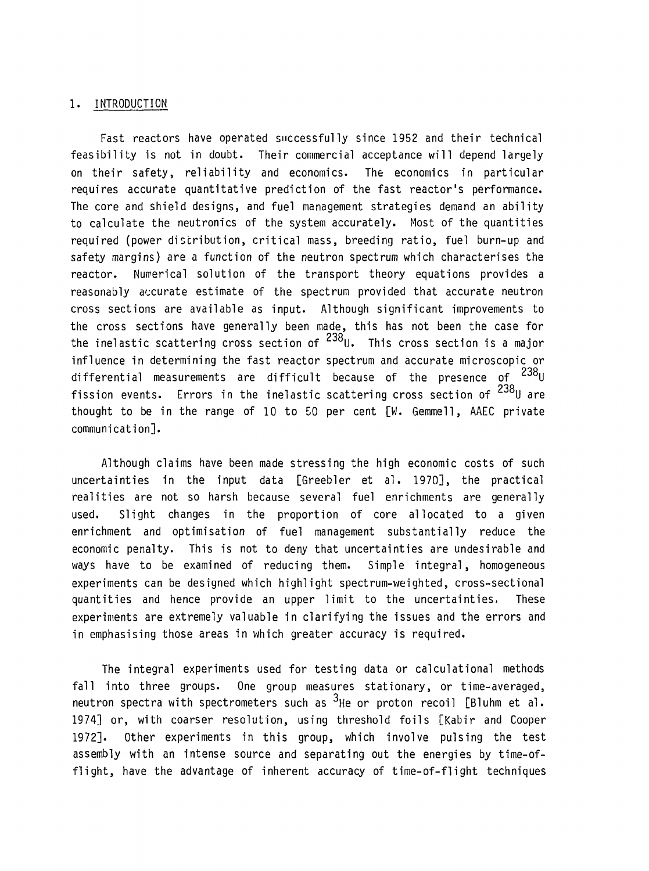#### 1. INTRODUCTION

Fast reactors have operated successfully since 1952 and their technical feasibility is not in doubt. Their commercial acceptance will depend largely on their safety, reliability and economics. The economics in particular requires accurate quantitative prediction of the fast reactor's performance. The core and shield designs, and fuel management strategies demand an ability to calculate the neutronics of the system accurately. Most of the quantities required (power distribution, critical mass, breeding ratio, fuel burn-up and safety margins) are a function of the neutron spectrum which characterises the reactor. Numerical solution of the transport theory equations provides a reasonably accurate estimate of the spectrum provided that accurate neutron cross sections are available as input. Although significant improvements to the cross sections have generally been made, this has not been the case for **poo** the inelastic scattering cross section of "YOL This cross section is a major influence in determining the fast reactor spectrum and accurate microscopic or **poo** differential measurements are difficult because of the presence of  $\mathsf{^{123}U}$ **poo** fission events. Lrrors in the inelastic scattering cross section of  $\mathsf{I}^\mathsf{revU}$  are thought to be in the range of 10 to 50 per cent [W. Gemmell, AAEC private communication].

Although claims have been made stressing the high economic costs of such uncertainties in the input data [Greebler et al. 1970], the practical realities are not so harsh because several fuel enrichments are generally used. Slight changes in the proportion of core allocated to a given enrichment and optimisation of fuel management substantially reduce the economic penalty. This is not to deny that uncertainties are undesirable and ways have to be examined of reducing them. Simple integral, homogeneous experiments can be designed which highlight spectrum-weighted, cross-sectional quantities and hence provide an upper limit to the uncertainties. These experiments are extremely valuable in clarifying the issues and the errors and in emphasising those areas in which greater accuracy is required.

The integral experiments used for testing data or calculational methods fall into three groups. One group measures stationary, or time-averaged, neutron spectra with spectrometers such as  $3$ He or proton recoil [Bluhm et al. 1974] or, with coarser resolution, using threshold foils [Kabir and Cooper 1972]. Other experiments in this group, which involve pulsing the test assembly with an intense source and separating out the energies by time-offlight, have the advantage of inherent accuracy of time-of-flight techniques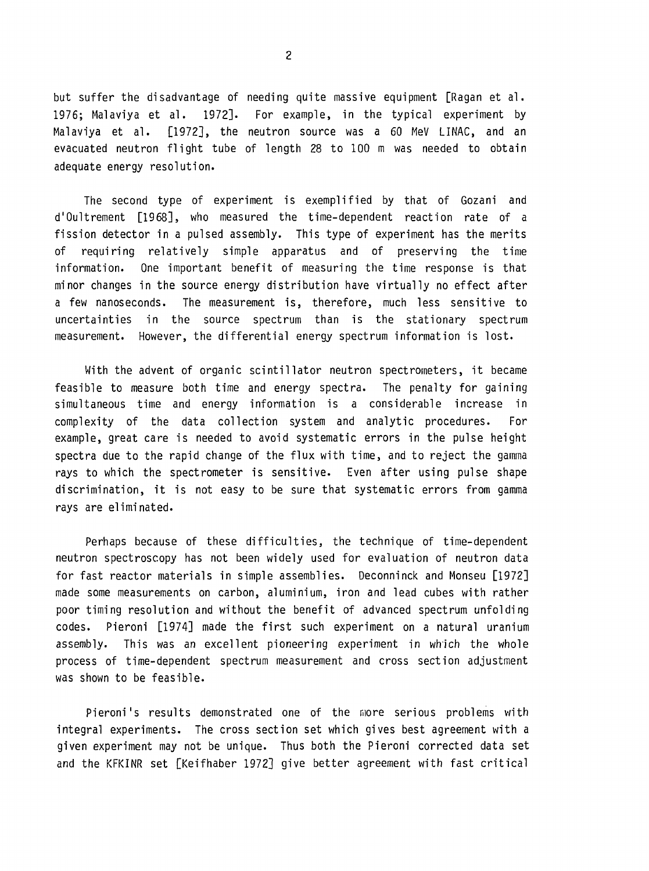but suffer the disadvantage of needing quite massive equipment [Ragan et al. 1976; Malaviya et al. 1972]. For example, in the typical experiment by Malaviya et al. [1972], the neutron source was a 60 MeV LINAC, and an evacuated neutron flight tube of length 28 to 100 m was needed to obtain adequate energy resolution.

The second type of experiment is exemplified by that of Gozani and d'Oultrement [1968], who measured the time-dependent reaction rate of a fission detector in a pulsed assembly. This type of experiment has the merits of requiring relatively simple apparatus and of preserving the time information. One important benefit of measuring the time response is that minor changes in the source energy distribution have virtually no effect after a few nanoseconds. The measurement is, therefore, much less sensitive to uncertainties in the source spectrum than is the stationary spectrum measurement. However, the differential energy spectrum information is lost.

With the advent of organic scintillator neutron spectrometers, it became feasible to measure both time and energy spectra. The penalty for gaining simultaneous time and energy information is a considerable increase in complexity of the data collection system and analytic procedures. For example, great care is needed to avoid systematic errors in the pulse height spectra due to the rapid change of the flux with time, and to reject the gamma rays to which the spectrometer is sensitive. Even after using pulse shape discrimination, it is not easy to be sure that systematic errors from gamma rays are eliminated.

Perhaps because of these difficulties, the technique of time-dependent neutron spectroscopy has not been widely used for evaluation of neutron data for fast reactor materials in simple assemblies. Deconninck and Monseu [1972] made some measurements on carbon, aluminium, iron and lead cubes with rather poor timing resolution and without the benefit of advanced spectrum unfolding codes. Pieroni [1974] made the first such experiment on a natural uranium assembly. This was an excellent pioneering experiment in which the whole process of time-dependent spectrum measurement and cross section adjustment was shown to be feasible.

Pieroni's results demonstrated one of the more serious problems with integral experiments. The cross section set which gives best agreement with a given experiment may not be unique. Thus both the Pieroni corrected data set and the KFKINR set [Keifhaber 1972] give better agreement with fast critical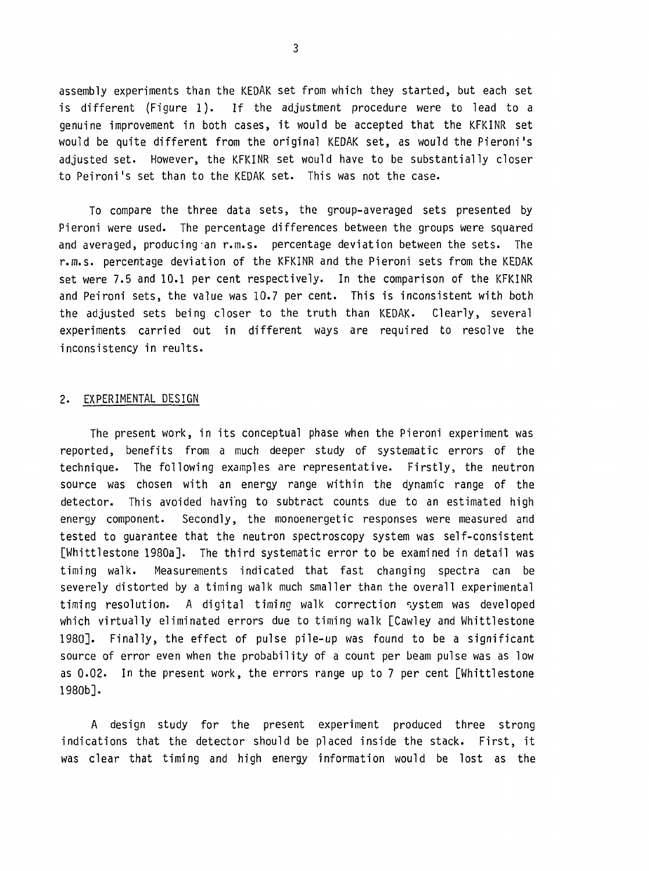assembly experiments than the KEDAK set from which they started, but each set is different (Figure 1). If the adjustment procedure were to lead to a genuine improvement in both cases, it would be accepted that the KFKINR set would be quite different from the original KEDAK set, as would the Pieroni's adjusted set. However, the KFKINR set would have to be substantially closer to Peironi's set than to the KEDAK set. This was not the case.

To compare the three data sets, the group-averaged sets presented by Pieroni were used. The percentage differences between the groups were squared and averaged, producing an r.m.s. percentage deviation between the sets. The r.m.s. percentage deviation of the KFKINR and the Pieroni sets from the KEDAK set were 7.5 and 10.1 per cent respectively. In the comparison of the KFKINR and Peironi sets, the value was 10.7 per cent. This is inconsistent with both the adjusted sets being closer to the truth than KEDAK. Clearly, several experiments carried out in different ways are required to resolve the inconsistency in reults.

#### 2. EXPERIMENTAL DESIGN

The present work, in its conceptual phase when the Pieroni experiment was reported, benefits from a much deeper study of systematic errors of the technique. The following examples are representative. Firstly, the neutron source was chosen with an energy range within the dynamic range of the detector. This avoided having to subtract counts due to an estimated high energy component. Secondly, the monoenergetic responses were measured and tested to guarantee that the neutron spectroscopy system was self-consistent [Whittlestone 1980a]. The third systematic error to be examined in detail was timing walk. Measurements indicated that fast changing spectra can be severely distorted by a timing walk much smaller than the overall experimental timing resolution. A digital timing walk correction system was developed which virtually eliminated errors due to timing walk [Cawley and Whittlestone 1980]. Finally, the effect of pulse pile-up was found to be a significant source of error even when the probability of a count per beam pulse was as low as 0.02. In the present work, the errors range up to 7 per cent [Whittlestone 1980b].

A design study for the present experiment produced three strong indications that the detector should be placed inside the stack. First, it was clear that timing and high energy information would be lost as the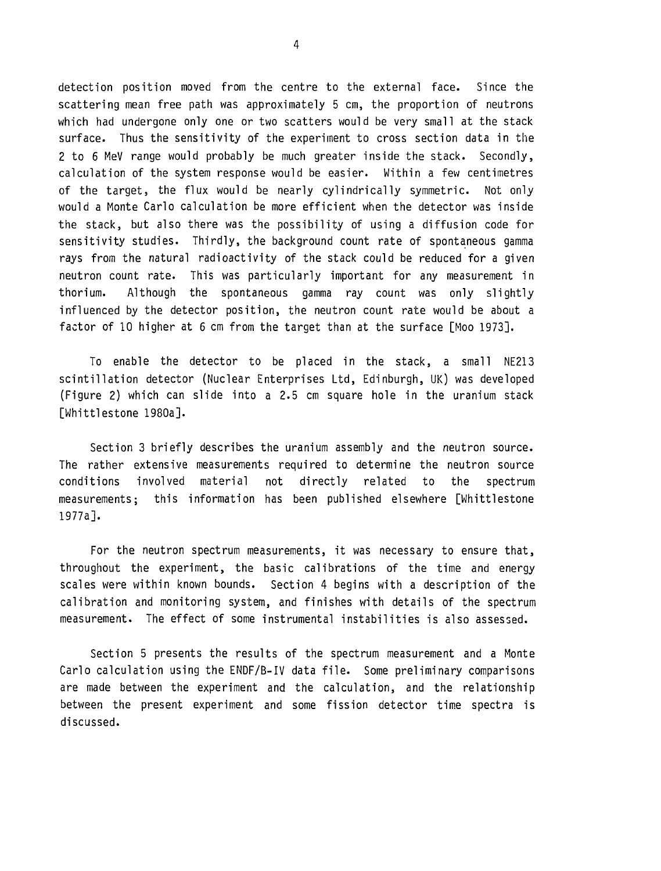detection position moved from the centre to the external face. Since the scattering mean free path was approximately 5 cm, the proportion of neutrons which had undergone only one or two scatters would be very small at the stack surface. Thus the sensitivity of the experiment to cross section data in the 2 to 6 MeV range would probably be much greater inside the stack. Secondly, calculation of the system response would be easier. Within a few centimetres of the target, the flux would be nearly cylindrically symmetric. Not only would a Monte Carlo calculation be more efficient when the detector was inside the stack, but also there was the possibility of using a diffusion code for sensitivity studies. Thirdly, the background count rate of spontaneous gamma rays from the natural radioactivity of the stack could be reduced for a given neutron count rate. This was particularly important for any measurement in thorium. Although the spontaneous gamma ray count was only slightly influenced by the detector position, the neutron count rate would be about a factor of 10 higher at 6 cm from the target than at the surface [Moo 1973].

To enable the detector to be placed in the stack, a small NE213 scintillation detector (Nuclear Enterprises Ltd, Edinburgh, UK) was developed (Figure 2) which can slide into a 2.5 cm square hole in the uranium stack [Whittlestone 1980a].

Section 3 briefly describes the uranium assembly and the neutron source. The rather extensive measurements required to determine the neutron source conditions involved material not directly related to the spectrum measurements; this information has been published elsewhere [Whittlestone 1977a].

For the neutron spectrum measurements, it was necessary to ensure that, throughout the experiment, the basic calibrations of the time and energy scales were within known bounds. Section 4 begins with a description of the calibration and monitoring system, and finishes with details of the spectrum measurement. The effect of some instrumental instabilities is also assessed.

Section 5 presents the results of the spectrum measurement and a Monte Carlo calculation using the ENDF/B-IV data file. Some preliminary comparisons are made between the experiment and the calculation, and the relationship between the present experiment and some fission detector time spectra is discussed.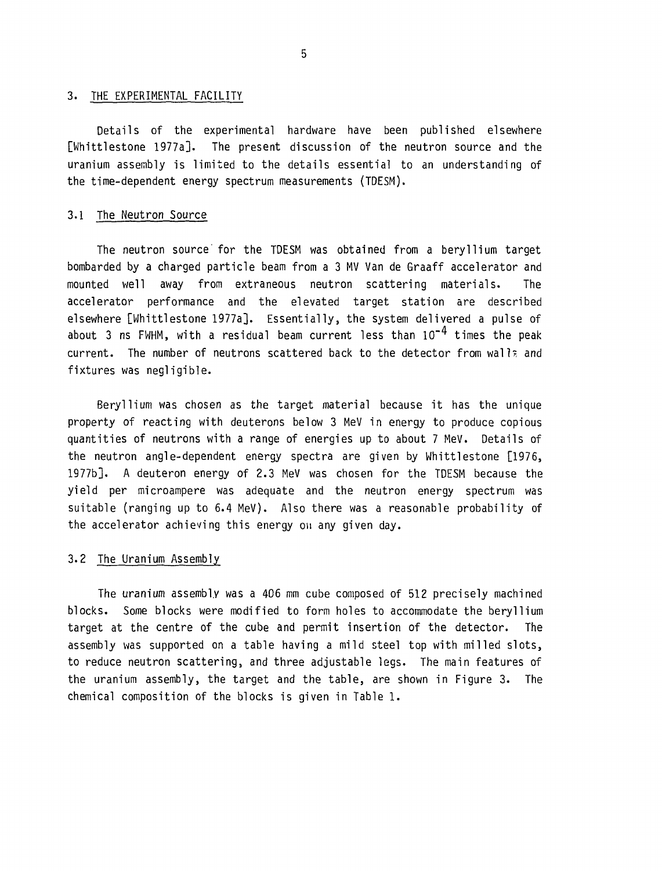#### 3. THE EXPERIMENTAL FACILITY

Details of the experimental hardware have been published elsewhere [Whittlestone 1977a]. The present discussion of the neutron source and the uranium assembly is limited to the details essential to an understanding of the time-dependent energy spectrum measurements (TDESM).

#### 3.1 The Neutron Source

The neutron source' for the TDESM was obtained from a beryllium target bombarded by a charged particle beam from a 3 MV Van de Graaff accelerator and mounted v/ell away from extraneous neutron scattering materials. The accelerator performance and the elevated target station are described elsewhere [Whittlestone 1977a]. Essentially, the system delivered a pulse of about 3 ns FWHM, with a residual beam current less than  $10^{-4}$  times the peak current. The number of neutrons scattered back to the detector from wall? and fixtures was negligible.

Beryllium was chosen as the target material because it has the unique property of reacting with deuterons below 3 MeV in energy to produce copious quantities of neutrons with a range of energies up to about 7 MeV. Details of the neutron angle-dependent energy spectra are given by Whittlestone [1976, 1977b]. A deuteron energy of 2.3 MeV was chosen for the TDESM because the yield per microampere was adequate and the neutron energy spectrum was suitable (ranging up to 6.4 MeV). Also there was a reasonable probability of the accelerator achieving this energy on any given day.

#### 3.2 The Uranium Assembly

The uranium assembly was a 406 mm cube composed of 512 precisely machined blocks. Some blocks were modified to form holes to accommodate the beryllium target at the centre of the cube and permit insertion of the detector. The assembly was supported on a table having a mild steel top with milled slots, to reduce neutron scattering, and three adjustable legs. The main features of the uranium assembly, the target and the table, are shown in Figure 3. The chemical composition of the blocks is given in Table 1.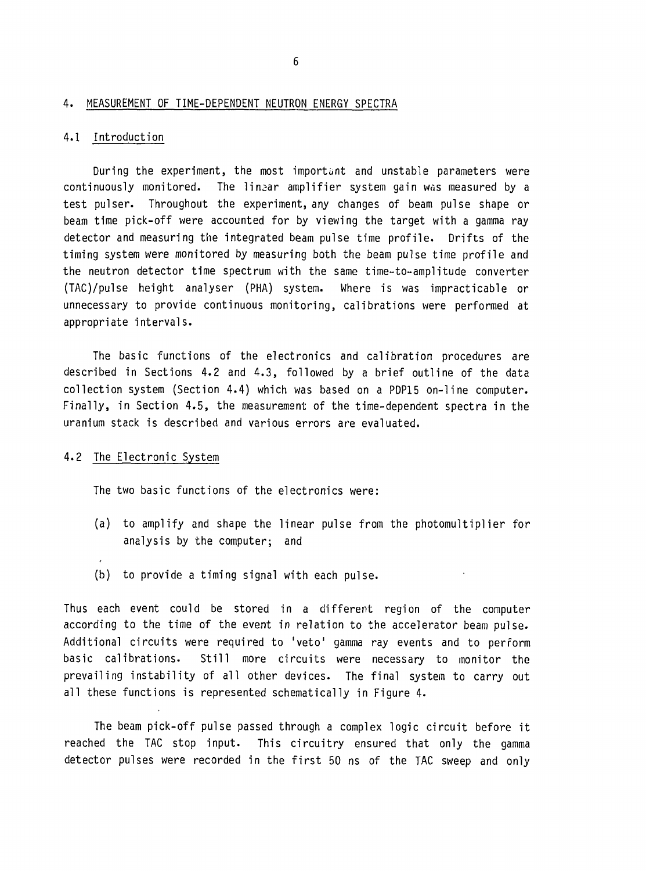#### 4. MEASUREMENT OF TIME-DEPENDENT NEUTRON ENERGY SPECTRA

#### 4.1 Introduction

During the experiment, the most important and unstable parameters were continuously monitored. The linear amplifier system gain was measured by a test pulser. Throughout the experiment, any changes of beam pulse shape or beam time pick-off were accounted for by viewing the target with a gamma ray detector and measuring the integrated beam pulse time profile. Drifts of the timing system were monitored by measuring both the beam pulse time profile and the neutron detector time spectrum with the same time-to-amplitude converter (TAC)/pulse height analyser (PHA) system. Where is was impracticable or unnecessary to provide continuous monitoring, calibrations were performed at appropriate intervals.

The basic functions of the electronics and calibration procedures are described in Sections 4.2 and 4.3, followed by a brief outline of the data collection system (Section 4.4) which was based on a PDP15 on-line computer. Finally, in Section 4.5, the measurement of the time-dependent spectra in the uranium stack is described and various errors are evaluated.

#### 4.2 The Electronic System

The two basic functions of the electronics were:

- (a) to amplify and shape the linear pulse from the photomultiplier for analysis by the computer; and
- (b) to provide a timing signal with each pulse.

Thus each event could be stored in a different region of the computer according to the time of the event in relation to the accelerator beam pulse. Additional circuits were required to 'veto' gamma ray events and to perform basic calibrations. Still more circuits were necessary to monitor the prevailing instability of all other devices. The final system to carry out all these functions is represented schematically in Figure 4.

The beam pick-off pulse passed through a complex logic circuit before it reached the TAG stop input. This circuitry ensured that only the gamma detector pulses were recorded in the first 50 ns of the TAG sweep and only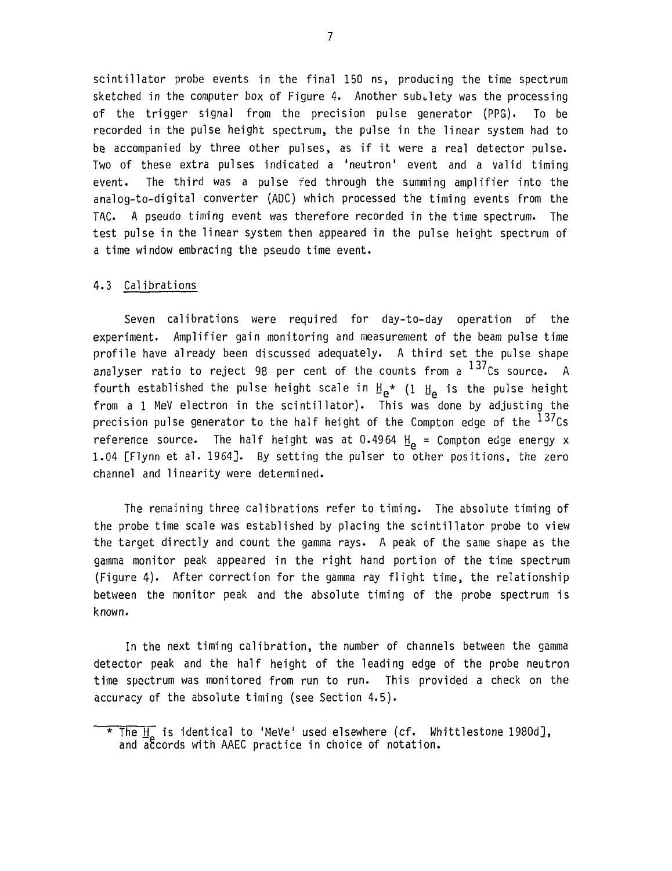scintillator probe events in the final 150 ns, producing the time spectrum sketched in the computer box of Figure 4. Another sub-lety was the processing of the trigger signal from the precision pulse generator (PPG). To be recorded in the pulse height spectrum, the pulse in the linear system had to be accompanied by three other pulses, as if it were a real detector pulse. Two of these extra pulses indicated a 'neutron' event and a valid timing event. The third was a pulse fed through the summing amplifier into the analog-to-digital converter (ADC) which processed the timing events from the TAC. A pseudo timing event was therefore recorded in the time spectrum. The test pulse in the linear system then appeared in the pulse height spectrum of a time window embracing the pseudo time event.

#### 4.3 Calibrations

Seven calibrations were required for day-to-day operation of the experiment. Amplifier gain monitoring and measurement of the beam pulse time profile have already been discussed adequately. A third set the pulse shape analyser ratio to reject 98 per cent of the counts from a  $^{137}$ Cs source. A fourth established the pulse height scale in  $\mathbb{H}_{e^{\ast}}$  (1  $\mathbb{H}_{e}$  is the pulse height from a 1 MeV electron in the scintillator). This was done by adjusting the precision pulse generator to the half height of the Compton edge of the  $^{137}$ Cs reference source. The half height was at 0.4964  $H_e$  = Compton edge energy x 1.04 [Flynn et al. 1964]. By setting the pulser to other positions, the zero channel and linearity were determined.

The remaining three calibrations refer to timing. The absolute timing of the probe time scale was established by placing the scintillator probe to view the target directly and count the gamma rays. A peak of the same shape as the gamma monitor peak appeared in the right hand portion of the time spectrum (Figure 4). After correction for the gamma ray flight time, the relationship between the monitor peak and the absolute timing of the probe spectrum is known.

In the next timing calibration, the number of channels between the gamma detector peak and the half height of the leading edge of the probe neutron time spectrum was monitored from run to run. This provided a check on the accuracy of the absolute timing (see Section 4.5).

 $\star$  The  $\frac{1}{10}$  is identical to 'MeVe' used elsewhere (cf. Whittlestone 1980d], and accords with AAEC practice in choice of notation.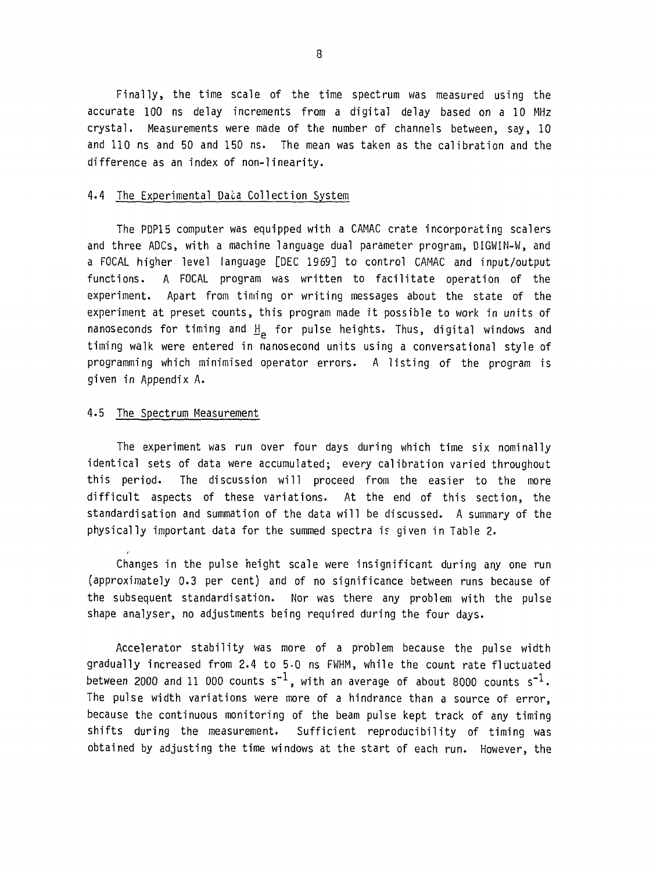Finally, the time scale of the time spectrum was measured using the accurate 100 ns delay increments from a digital delay based on a 10 MHz crystal. Measurements were made of the number of channels between, say, 10 and 110 ns and 50 and 150 ns. The mean was taken as the calibration and the difference as an index of non-linearity.

#### 4.4 The Experimental Data Collection System

The PDP15 computer was equipped with a CAMAC crate incorporating scalers and three ADCs, with a machine language dual parameter program, DIGWIN-W, and a FOCAL higher level language [DEC 1969] to control CAMAC and input/output functions. A FOCAL program was written to facilitate operation of the experiment. Apart from timing or writing messages about the state of the experiment at preset counts, this program made it possible to work in units of nanoseconds for timing and  $H_{\rho}$  for pulse heights. Thus, digital windows and timing walk were entered in nanosecond units using a conversational style of programming which minimised operator errors. A listing of the program is given in Appendix A.

#### 4.5 The Spectrum Measurement

The experiment was run over four days during which time six nominally identical sets of data were accumulated; every calibration varied throughout this period. The discussion will proceed from the easier to the more difficult aspects of these variations. At the end of this section, the standardisation and summation of the data will be discussed. A summary of the physically important data for the summed spectra is given in Table 2.

Changes in the pulse height scale were insignificant during any one run (approximately 0.3 per cent) and of no significance between runs because of the subsequent standardisation. Nor was there any problem with the pulse shape analyser, no adjustments being required during the four days.

Accelerator stability was more of a problem because the pulse width gradually increased from 2.4 to 5-0 ns FWHM, while the count rate fluctuated between 2000 and 11 000 counts  $s^{-1}$ , with an average of about 8000 counts  $s^{-1}$ . The pulse width variations were more of a hindrance than a source of error, because the continuous monitoring of the beam pulse kept track of any timing shifts during the measurement. Sufficient reproducibility of timing was obtained by adjusting the time windows at the start of each run. However, the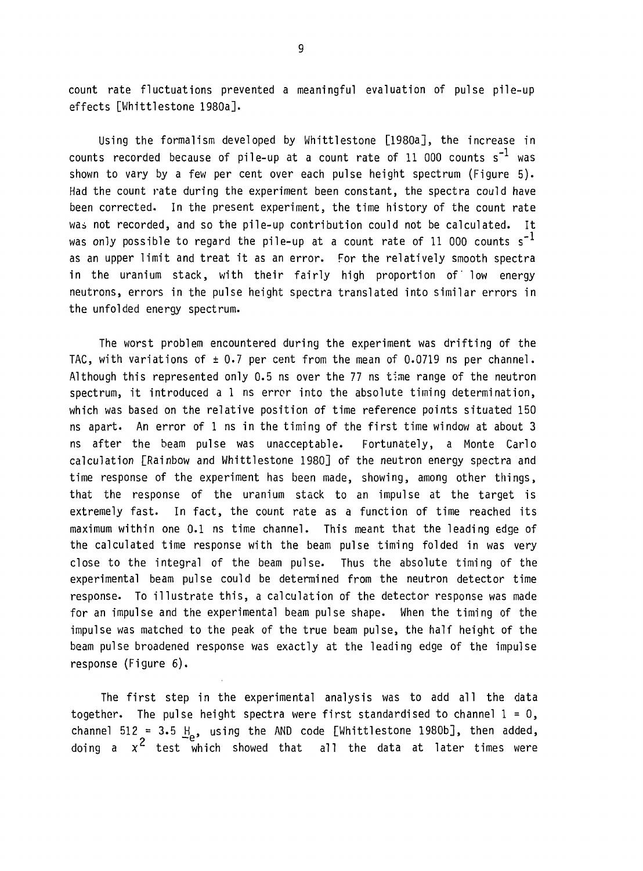count rate fluctuations prevented a meaningful evaluation of pulse pile-up effects [Whittlestone 1980a].

Using the formalism developed by Whittlestone [1980a], the increase in counts recorded because of pile-up at a count rate of 11 000 counts  $s^{-1}$  was shown to vary by a few per cent over each pulse height spectrum (Figure 5). Had the count rate during the experiment been constant, the spectra could have been corrected. In the present experiment, the time history of the count rate was not recorded, and so the pile-up contribution could not be calculated. It was only possible to regard the pile-up at a count rate of 11 000 counts  $s^{-1}$ as an upper limit and treat it as an error. For the relatively smooth spectra in the uranium stack, with their fairly high proportion of low energy neutrons, errors in the pulse height spectra translated into similar errors in the unfolded energy spectrum.

The worst problem encountered during the experiment was drifting of the TAC, with variations of  $\pm$  0.7 per cent from the mean of 0.0719 ns per channel. Although this represented only 0.5 ns over the 77 ns time range of the neutron spectrum, it introduced a 1 ns error into the absolute timing determination, which was based on the relative position of time reference points situated 150 ns apart. An error of 1 ns in the timing of the first time window at about 3 ns after the beam pulse was unacceptable. Fortunately, a Monte Carlo calculation [Rainbow and Whittlestone 1980] of the neutron energy spectra and time response of the experiment has been made, showing, among other things, that the response of the uranium stack to an impulse at the target is extremely fast. In fact, the count rate as a function of time reached its maximum within one 0.1 ns time channel. This meant that the leading edge of the calculated time response with the beam pulse timing folded in was very close to the integral of the beam pulse. Thus the absolute timing of the experimental beam pulse could be determined from the neutron detector time response. To illustrate this, a calculation of the detector response was made for an impulse and the experimental beam pulse shape. When the timing of the impulse was matched to the peak of the true beam pulse, the half height of the beam pulse broadened response was exactly at the leading edge of the impulse response (Figure 6).

The first step in the experimental analysis was to add all the data together. The pulse height spectra were first standardised to channel  $1 = 0$ , channel 512 = 3.5  $H_0$ , using the AND code [Whittlestone 1980b], then added, doing a  $x^2$  test which showed that all the data at later times were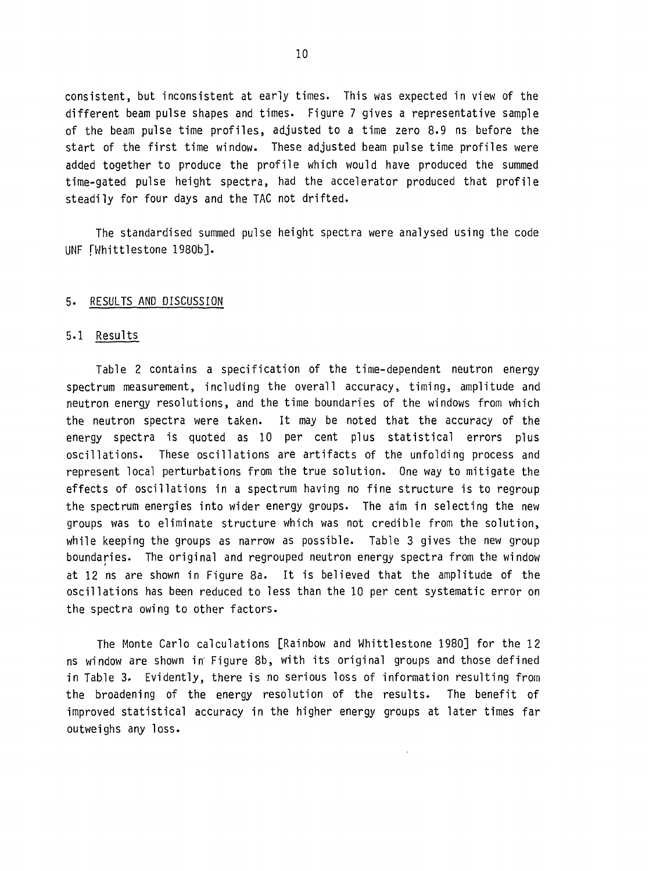consistent, but inconsistent at early times. This was expected in view of the different beam pulse shapes and times. Figure 7 gives a representative sample of the beam pulse time profiles, adjusted to a time zero 8.9 ns before the start of the first time window. These adjusted beam pulse time profiles were added together to produce the profile which would have produced the summed time-gated pulse height spectra, had the accelerator produced that profile steadily for four days and the TAG not drifted.

The standardised summed pulse height spectra were analysed using the code UNF [Whittlestone 1980b].

#### 5. RESULTS AND DISCUSSION

#### 5.1 Results

Table 2 contains a specification of the time-dependent neutron energy spectrum measurement, including the overall accuracy, timing, amplitude and neutron energy resolutions, and the time boundaries of the windows from which the neutron spectra were taken. It may be noted that the accuracy of the energy spectra is quoted as 10 per cent plus statistical errors plus oscillations. These oscillations are artifacts of the unfolding process and represent local perturbations from the true solution. One way to mitigate the effects of oscillations in a spectrum having no fine structure is to regroup the spectrum energies into wider energy groups. The aim in selecting the new groups was to eliminate structure which was not credible from the solution, while keeping the groups as narrow as possible. Table 3 gives the new group boundaries. The original and regrouped neutron energy spectra from the window at 12 ns are shown in Figure 8a. It is believed that the amplitude of the oscillations has been reduced to less than the 10 per cent systematic error on the spectra owing to other factors.

The Monte Carlo calculations [Rainbow and Whittlestone 1980] for the 12 ns window are shown in Figure 8b, with its original groups and those defined in Table 3. Evidently, there is no serious loss of information resulting from the broadening of the energy resolution of the results. The benefit of improved statistical accuracy in the higher energy groups at later times far outweighs any loss.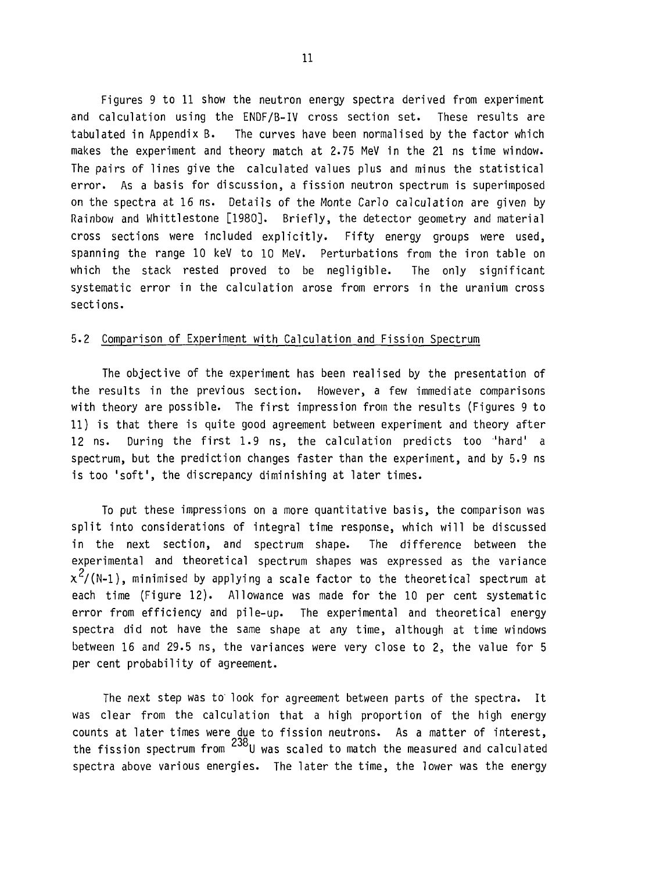Figures 9 to 11 show the neutron energy spectra derived from experiment and calculation using the ENDF/B-IV cross section set. These results are tabulated in Appendix B. The curves have been normalised by the factor which makes the experiment and theory match at 2.75 MeV in the 21 ns time window. The pairs of lines give the calculated values plus and minus the statistical error. As a basis for discussion, a fission neutron spectrum is superimposed on the spectra at 16 ns. Details of the Monte Carlo calculation are given by Rainbow and Whittlestone [1980]. Briefly, the detector geometry and material cross sections were included explicitly. Fifty energy groups were used, spanning the range 10 keV to 10 MeV. Perturbations from the iron table on which the stack rested proved to be negligible. The only significant systematic error in the calculation arose from errors in the uranium cross sections.

#### 5.2 Comparison of Experiment with Calculation and Fission Spectrum

The objective of the experiment has been realised by the presentation of the results in the previous section. However, a few immediate comparisons with theory are possible. The first impression from the results (Figures 9 to 11) is that there is quite good agreement between experiment and theory after 12 ns. During the first 1.9 ns, the calculation predicts too 'hard' a spectrum, but the prediction changes faster than the experiment, and by 5.9 ns is too 'soft', the discrepancy diminishing at later times.

To put these impressions on a more quantitative basis, the comparison was split into considerations of integral time response, which will be discussed in the next section, and spectrum shape. The difference between the experimental and theoretical spectrum shapes was expressed as the variance  $\chi^2$ /(N-1), minimised by applying a scale factor to the theoretical spectrum at each time (Figure 12). Allowance was made for the 10 per cent systematic error from efficiency and pile-up. The experimental and theoretical energy spectra did not have the same shape at any time, although at time windows between 16 and 29.5 ns, the variances were very close to 2, the value for 5 per cent probability of agreement.

The next step was to look for agreement between parts of the spectra. It was clear from the calculation that a high proportion of the high energy counts at later times were due to fission neutrons. As a matter of interest, the fission spectrum from  $^{238}$ U was scaled to match the measured and calculated spectra above various energies. The later the time, the lower was the energy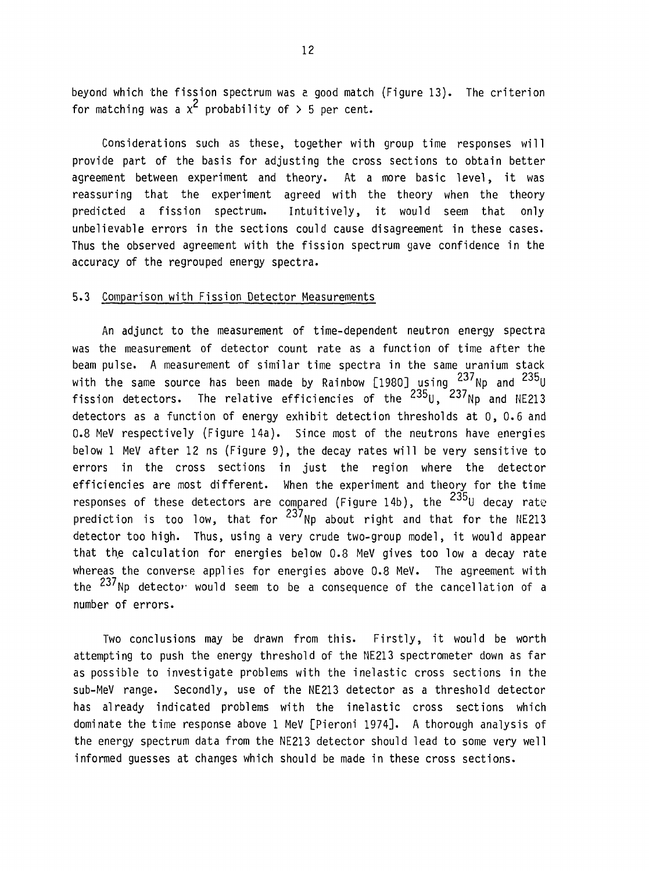beyond which the fission spectrum was e. good match (Figure 13). The criterion for matching was a  $x^2$  probability of  $> 5$  per cent.

Considerations such as these, together with group time responses will provide part of the basis for adjusting the cross sections to obtain better agreement between experiment and theory. At a more basic level, it was reassuring that the experiment agreed with the theory when the theory predicted a fission spectrum. Intuitively, it would seem that only unbelievable errors in the sections could cause disagreement in these cases. Thus the observed agreement with the fission spectrum gave confidence in the accuracy of the regrouped energy spectra.

#### 5.3 Comparison with Fission Detector Measurements

An adjunct to the measurement of time-dependent neutron energy spectra was the measurement of detector count rate as a function of time after the beam pulse. A measurement of similar time spectra in the same uranium stack with the same source has been made by Rainbow [1980] using <sup>237</sup>Np and <sup>235</sup>U fission detectors. The relative efficiencies of the <sup>235</sup>U, <sup>237</sup>Np and NE213 detectors as a function of energy exhibit detection thresholds at 0, 0.6 and 0.8 MeV respectively (Figure 14a). Since most of the neutrons have energies below 1 MeV after 12 ns (Figure 9), the decay rates will be very sensitive to errors in the cross sections in just the region where the detector efficiencies are most different. When the experiment and theory for the time responses of these detectors are compared (Figure 14b), the <sup>235</sup>U decay rate 237 prediction is too low, that for <sup>297</sup>Np about right and that for the NE213 detector too high. Thus, using a very crude two-group model, it would appear that the calculation for energies below 0.8 MeV gives too low a decay rate whereas the converse applies for energies above 0.8 MeV. The agreement with the <sup>23/</sup>Np detecto<sup>,</sup> would seem to be a consequence of the cancellation of a number of errors.

Two conclusions may be drawn from this. Firstly, it would be worth attempting to push the energy threshold of the NE213 spectrometer down as far as possible to investigate problems with the inelastic cross sections in the sub-MeV range. Secondly, use of the NE213 detector as a threshold detector has already indicated problems with the inelastic cross sections which dominate the time response above 1 MeV [Pieroni 1974]. A thorough analysis of the energy spectrum data from the NE213 detector should lead to some very well informed guesses at changes which should be made in these cross sections.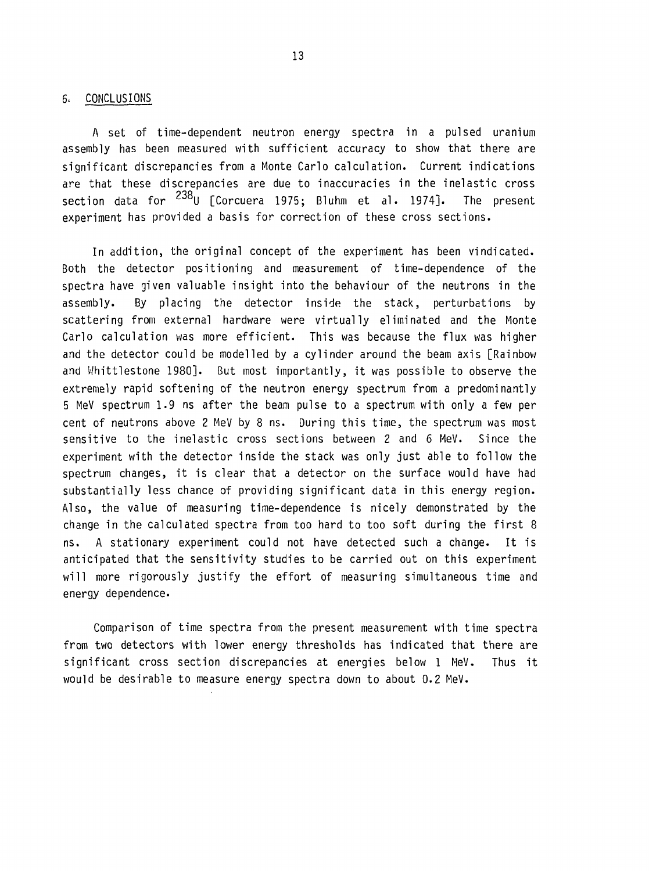#### 6. CONCLUSIONS

A set of time-dependent neutron energy spectra in a pulsed uranium assembly has been measured with sufficient accuracy to show that there are significant discrepancies from a Monte Carlo calculation. Current indications are that these discrepancies are due to inaccuracies in the inelastic cross section data for <sup>238</sup>U [Corcuera 1975; Bluhm et al. 1974]. The present experiment has provided a basis for correction of these cross sections.

In addition, the original concept of the experiment has been vindicated. Both the detector positioning and measurement of time-dependence of the spectra have given valuable insight into the behaviour of the neutrons in the assembly. By placing the detector inside the stack, perturbations by scattering from external hardware were virtually eliminated and the Monte Carlo calculation was more efficient. This was because the flux was higher and the detector could be modelled by a cylinder around the beam axis [Rainbow and Whittlestone 1980]. But most importantly, it was possible to observe the extremely rapid softening of the neutron energy spectrum from a predominantly 5 MeV spectrum 1.9 ns after the beam pulse to a spectrum with only a few per cent of neutrons above 2 MeV by 8 ns. During this time, the spectrum was most sensitive to the inelastic cross sections between 2 and 6 MeV. Since the experiment with the detector inside the stack was only just able to follow the spectrum changes, it is clear that a detector on the surface would have had substantially less chance of providing significant data in this energy region. Also, the value of measuring time-dependence is nicely demonstrated by the change in the calculated spectra from too hard to too soft during the first 8 ns. A stationary experiment could not have detected such a change. It is anticipated that the sensitivity studies to be carried out on this experiment will more rigorously justify the effort of measuring simultaneous time and energy dependence.

Comparison of time spectra from the present measurement with time spectra from two detectors with lower energy thresholds has indicated that there are significant cross section discrepancies at energies below 1 MeV. Thus it would be desirable to measure energy spectra down to about 0.2 MeV.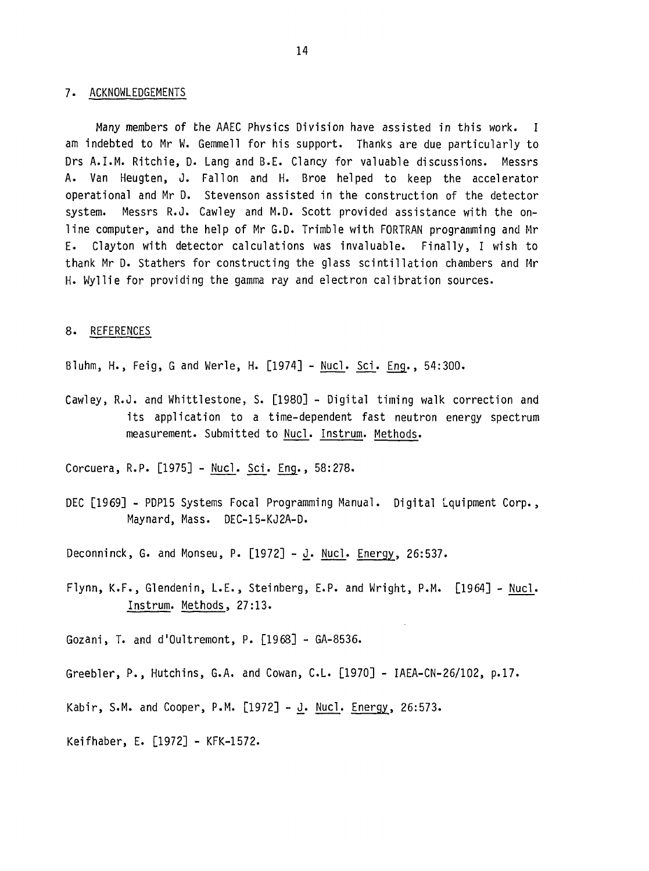#### 7. ACKNOWLEDGEMENTS

Many members of the AAEC Physics Division have assisted in this work. I am indebted to Mr W. Gemmell for his support. Thanks are due particularly to Drs A.I.M. Ritchie, D. Lang and B.E. Clancy for valuable discussions. Messrs A. Van Heugten, J. Fallen and H. Broe helped to keep the accelerator operational and Mr D. Stevenson assisted in the construction of the detector system. Messrs R.J. Cawley and M.D. Scott provided assistance with the online computer, and the help of Mr G.D. Trimble with FORTRAN programming and Mr E. Clayton with detector calculations was invaluable. Finally, I wish to thank Mr D. Stathers for constructing the glass scintillation chambers and Mr H. Myllie for providing the gamma ray and electron calibration sources.

#### 8. REFERENCES

Bluhm, H., Feig, G and Werle, H. [1974] - Nucl. Sci. Eng., 54:300.

Cawley, R.J. and Whittlestone, S. [1980] - Digital timing walk correction and its application to a time-dependent fast neutron energy spectrum measurement. Submitted to Nucl. Instrum. Methods.

Corcuera, R.P. [1975] - Nucl. Sci. Eng., 58:278.

DEC [1969] - PDP15 Systems Focal Programming Manual. Digital Lquipment Corp., Maynard, Mass. DEC-15-KJ2A-D.

Deconninck, G. and Monseu, P.  $[1972] - J$ . Nucl. Energy, 26:537.

Flynn, K.F., Glendenin, L.E., Steinberg, E.P. and Wright, P.M. [1964] - Nucl. Instrum. Methods, 27:13.

Gozani, T. and d'Oultremont, P. [1968] - GA-8536.

Greebler, P., Hutchins, G.A. and Cowan, C.L. [1970] - IAEA-CN-26/102, p.17.

Kabir, S.M. and Cooper, P.M. [1972] - 3. Nucl. Energy, 26:573.

Keifhaber, E. [1972] - KFK-1572.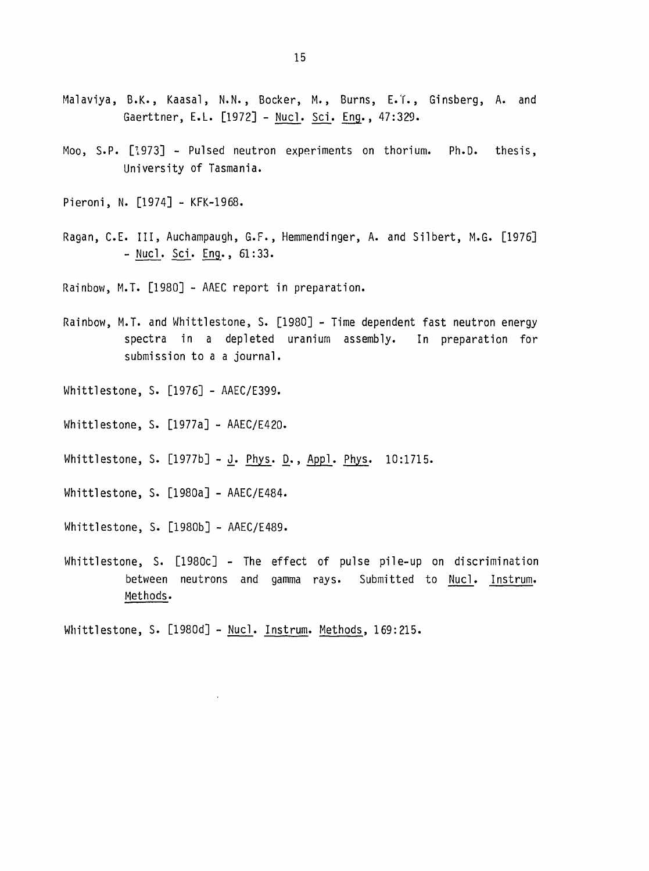- Malaviya, B.K., Kaasal, N.N., Bocker, M., Burns, E.T., Ginsberg, A. and Gaerttner, E.L. [1972] - Nucl. Scl. Eng., 47:329.
- Moo, S.P. [1973] Pulsed neutron experiments on thorium. Ph.D. thesis, University of Tasmania.
- Pieroni, N. [1974] KFK-1968.
- Ragan, C.E. Ill, Auchampaugh, G.F., Hemmendinger, A. and Silbert, M.G. [1976] - Nucl. Sci. Eng., 61:33.
- Rainbow, M.T. [1980] AAEC report in preparation.
- Rainbow, M.T. and Whittlestone, S. [1980] Time dependent fast neutron energy spectra in a depleted uranium assembly. In preparation for submission to a a journal.
- Whittlestone, S. [1976] AAEC/E399.
- Whittlestone, S. [1977a] AAEC/E420.
- Whittlestone, S.  $[1977b] J. Phys. D., Appl. Phys. 10:1715.$
- Whittlestone, S. [1980a] AAEC/E484.
- Whittlestone, S. [1980b] AAEC/E489.
- Whittlestone, S. [1980c] The effect of pulse pile-up on discrimination between neutrons and gamma rays. Submitted to Nucl. Instrum. Methods.

Whittlestone, S. [1980d] - Nucl. Instrum. Methods, 169:215.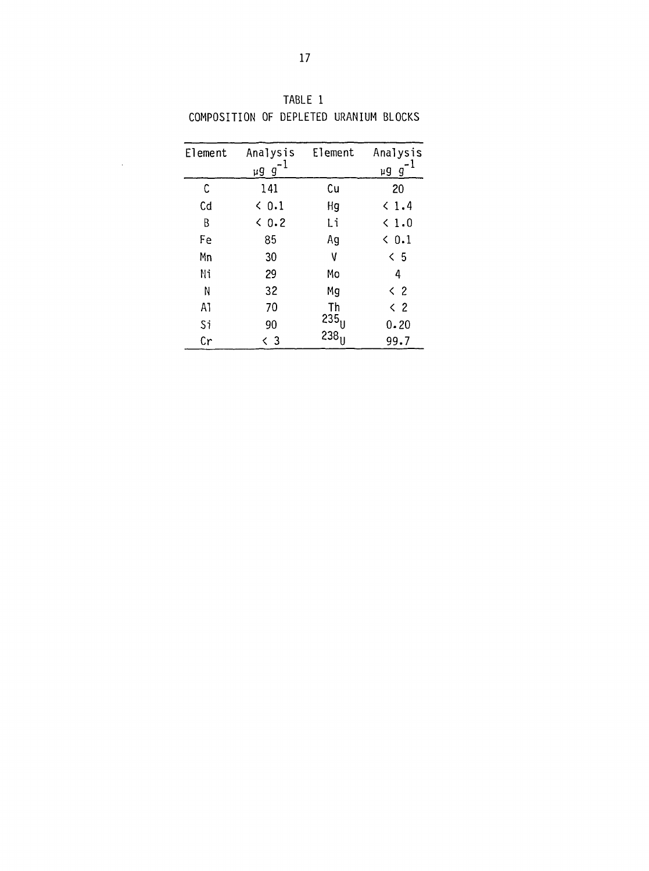| Element | Analysis      | Element          | Analysis      |
|---------|---------------|------------------|---------------|
|         | - 1<br>µgg    |                  | µgg           |
| C       | 141           | Cu               | 20            |
| Cd      | ← 0.1         | Hg               | < 1.4         |
| В       | $\langle 0.2$ | Li               | $\langle 1.0$ |
| Fe      | 85            | Ag               | $\langle 0.1$ |
| Mn      | 30            | ۷                | < 5           |
| Ni      | 29            | Mo               | 4             |
| N       | 32            | Mg               | $\langle$ 2   |
| A1      | 70            | Th               | $\langle$ 2   |
| Si      | 90            | $235_{\text{U}}$ | 0.20          |
| Cr      | く 3           | 238 <sub>U</sub> | 99.7          |

TABLE 1 COMPOSITION OF DEPLETED URANIUM BLOCKS

 $\sim$   $\sim$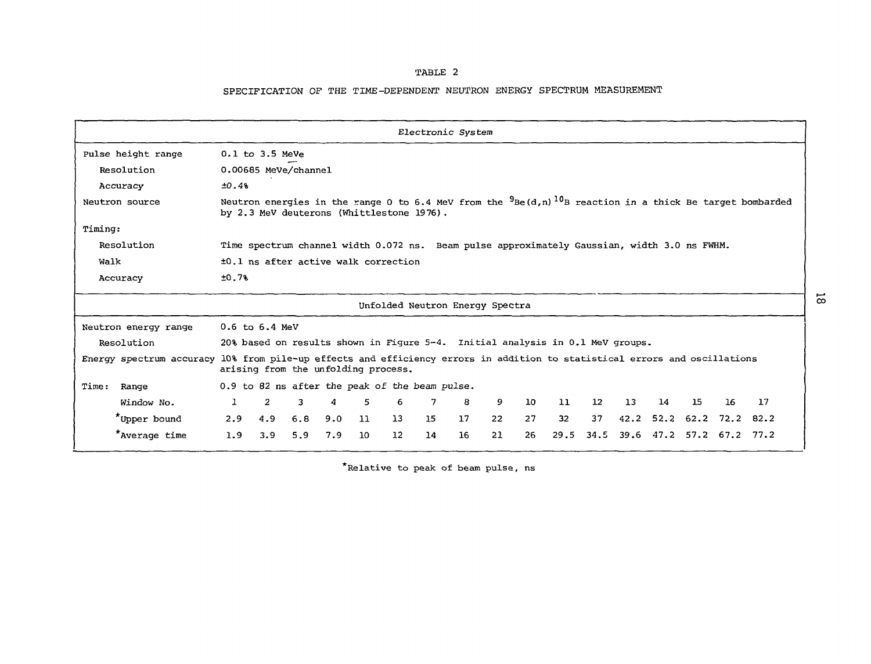#### TABLE 2

#### SPECIFICATION OP THE TIME-DEPENDENT NEUTRON ENERGY SPECTRUM MEASUREMENT

| Electronic System                                                                                                          |                                                                                                                                                                               |                                                |     |     |                 |                                 |    |    |                 |                 |                 |      |    |    |                     |    |
|----------------------------------------------------------------------------------------------------------------------------|-------------------------------------------------------------------------------------------------------------------------------------------------------------------------------|------------------------------------------------|-----|-----|-----------------|---------------------------------|----|----|-----------------|-----------------|-----------------|------|----|----|---------------------|----|
| Pulse height range                                                                                                         | $0.1$ to $3.5$ MeVe                                                                                                                                                           |                                                |     |     |                 |                                 |    |    |                 |                 |                 |      |    |    |                     |    |
| Resolution                                                                                                                 | 0.00685 MeVe/channel                                                                                                                                                          |                                                |     |     |                 |                                 |    |    |                 |                 |                 |      |    |    |                     |    |
| Accuracy                                                                                                                   | ±0.4%                                                                                                                                                                         |                                                |     |     |                 |                                 |    |    |                 |                 |                 |      |    |    |                     |    |
| Neutron source                                                                                                             | Neutron energies in the range 0 to 6.4 MeV from the $9_{\text{Be}}(d,n)$ 10 <sub>B</sub> reaction in a thick Be target bombarded<br>by 2.3 MeV deuterons (Whittlestone 1976). |                                                |     |     |                 |                                 |    |    |                 |                 |                 |      |    |    |                     |    |
| Timing:                                                                                                                    |                                                                                                                                                                               |                                                |     |     |                 |                                 |    |    |                 |                 |                 |      |    |    |                     |    |
| Resolution                                                                                                                 | Time spectrum channel width 0.072 ns. Beam pulse approximately Gaussian, width 3.0 ns FWHM.                                                                                   |                                                |     |     |                 |                                 |    |    |                 |                 |                 |      |    |    |                     |    |
| Walk                                                                                                                       | ±0.1 ns after active walk correction                                                                                                                                          |                                                |     |     |                 |                                 |    |    |                 |                 |                 |      |    |    |                     |    |
| Accuracy                                                                                                                   | ±0.7%                                                                                                                                                                         |                                                |     |     |                 |                                 |    |    |                 |                 |                 |      |    |    |                     |    |
|                                                                                                                            |                                                                                                                                                                               |                                                |     |     |                 | Unfolded Neutron Energy Spectra |    |    |                 |                 |                 |      |    |    |                     |    |
| Neutron energy range                                                                                                       | $0.6$ to $6.4$ MeV                                                                                                                                                            |                                                |     |     |                 |                                 |    |    |                 |                 |                 |      |    |    |                     |    |
| Resolution                                                                                                                 | 20% based on results shown in Figure 5-4. Initial analysis in 0.1 MeV groups.                                                                                                 |                                                |     |     |                 |                                 |    |    |                 |                 |                 |      |    |    |                     |    |
| Energy spectrum accuracy 10% from pile-up effects and efficiency errors in addition to statistical errors and oscillations |                                                                                                                                                                               | arising from the unfolding process.            |     |     |                 |                                 |    |    |                 |                 |                 |      |    |    |                     |    |
| Time:<br>Range                                                                                                             |                                                                                                                                                                               | 0.9 to 82 ns after the peak of the beam pulse. |     |     |                 |                                 |    |    |                 |                 |                 |      |    |    |                     |    |
| Window No.                                                                                                                 | $\mathbf{1}$                                                                                                                                                                  | $\overline{2}$<br>3                            | 4   | 5.  | 6               | 7                               | 8  | 9  | 10 <sub>1</sub> | 11              | 12 <sup>7</sup> | 13   | 14 | 15 | 16                  | 17 |
| *Upper bound                                                                                                               | 2.9                                                                                                                                                                           | 4.9<br>6.8                                     | 9.0 | -11 | 13              | 15                              | 17 | 22 | 27              | 32 <sub>2</sub> | 37              | 42.2 |    |    | 52.2 62.2 72.2 82.2 |    |
| *Average time                                                                                                              | 1.9                                                                                                                                                                           | 3.9<br>5.9                                     | 7.9 | 10  | 12 <sup>2</sup> | 14                              | 16 | 21 | 26              | 29.5            | 34.5            | 39.6 |    |    | 47.2 57.2 67.2 77.2 |    |

\*Relative to peak of beam pulse, ns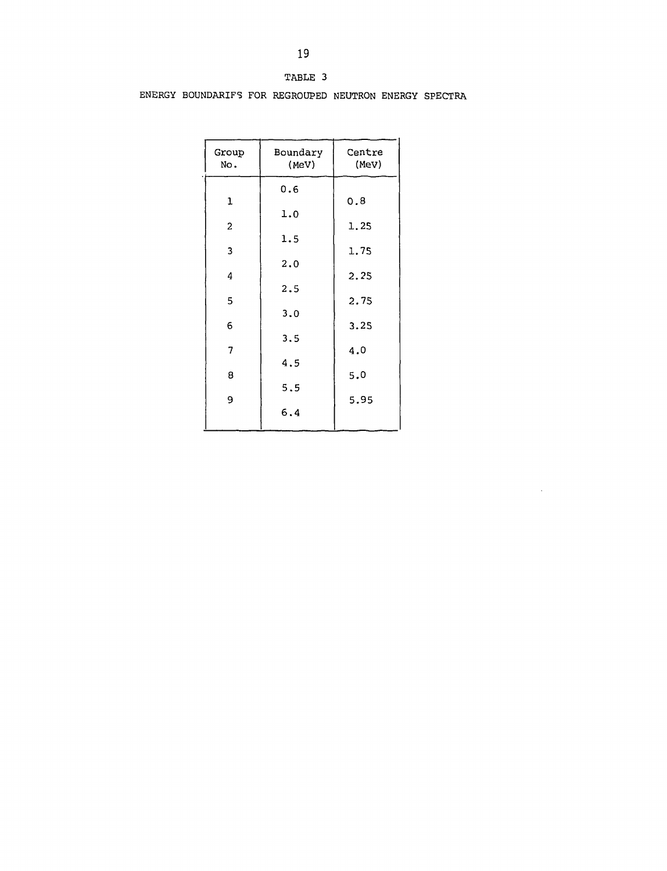| ABLE |  |
|------|--|
|------|--|

ENERGY BOUNDARIFS FOR REGROUPED NEUTRON ENERGY SPECTRA

| Group<br>No.            | Boundary<br>(MeV) | Centre<br>(MeV) |
|-------------------------|-------------------|-----------------|
|                         | 0.6               |                 |
| 1                       |                   | 0.8             |
| $\overline{\mathbf{c}}$ | 1.0               | 1.25            |
|                         | 1.5               |                 |
| 3                       |                   | 1.75            |
|                         | 2.0               |                 |
| 4                       | 2.5               | 2.25            |
| 5                       |                   | 2.75            |
|                         | 3.0               |                 |
| 6                       | 3.5               | 3.25            |
| 7                       |                   | 4.0             |
|                         | 4.5               |                 |
| 8                       | 5.5               | 5.0             |
| 9                       |                   | 5.95            |
|                         | 6.4               |                 |
|                         |                   |                 |

 $\overline{a}$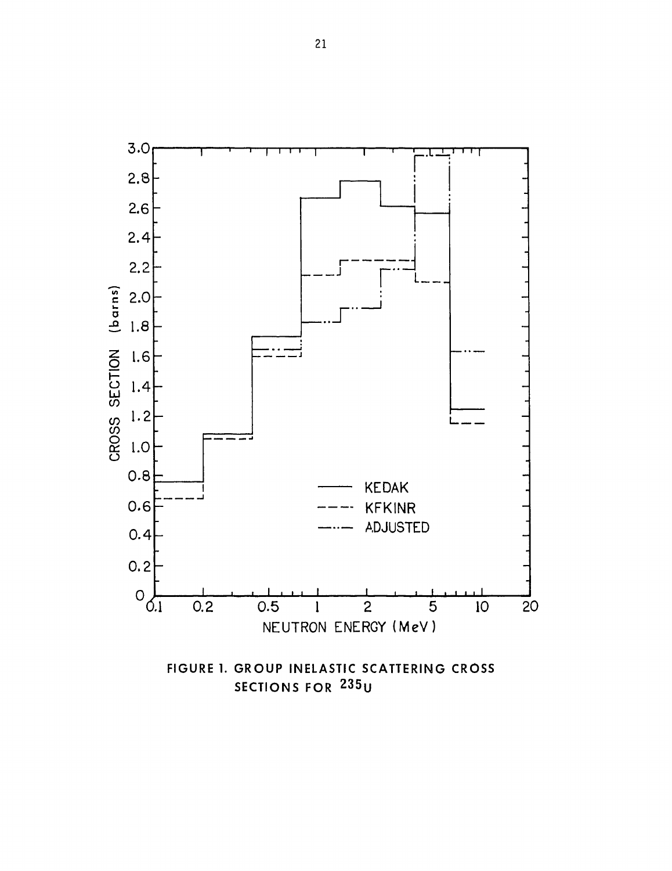

SECTIONS FOR 235U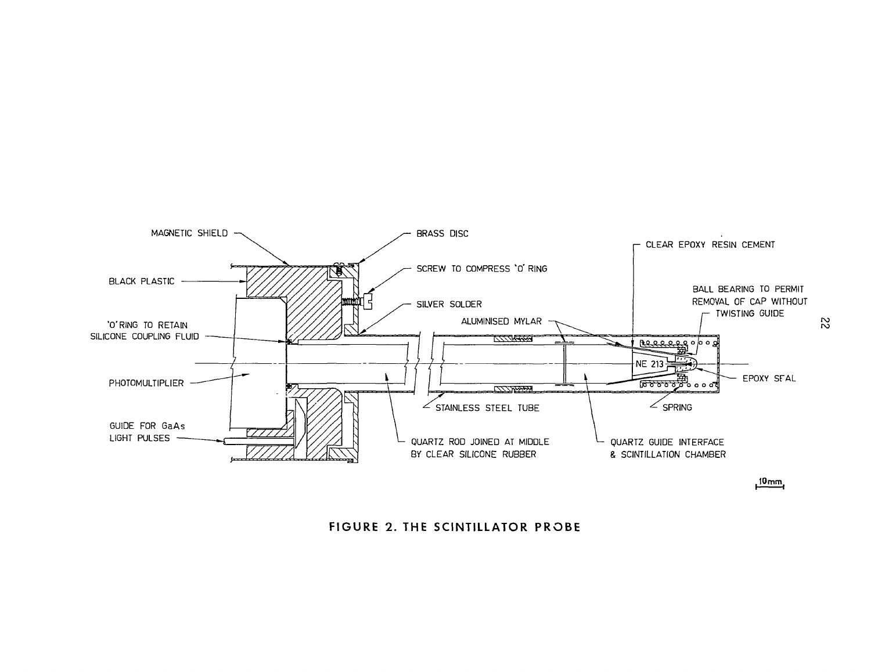

**FIGURE 2. THE SCINTILLATOR PROBE**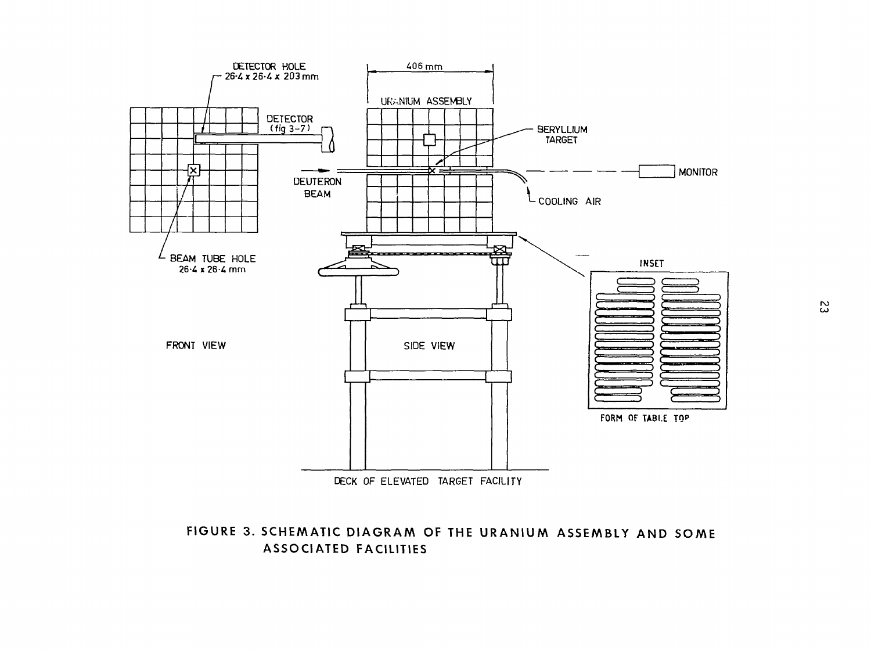

## FIGURE 3. SCHEMATIC DIAGRAM OF THE URANIUM ASSEMBLY AND SOME ASSOCIATED FACILITIES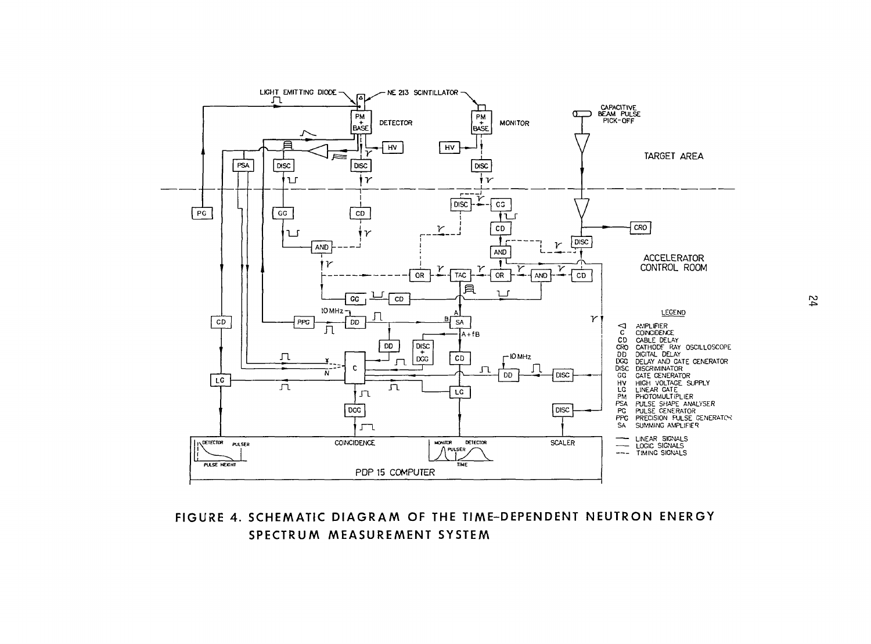

## **FIGURE 4. SCHEMATIC DIAGRAM OF THE TIME-DEPENDENT NEUTRON ENERGY SPECTRUM MEASUREMENT SYSTEM**

 $\overline{b}$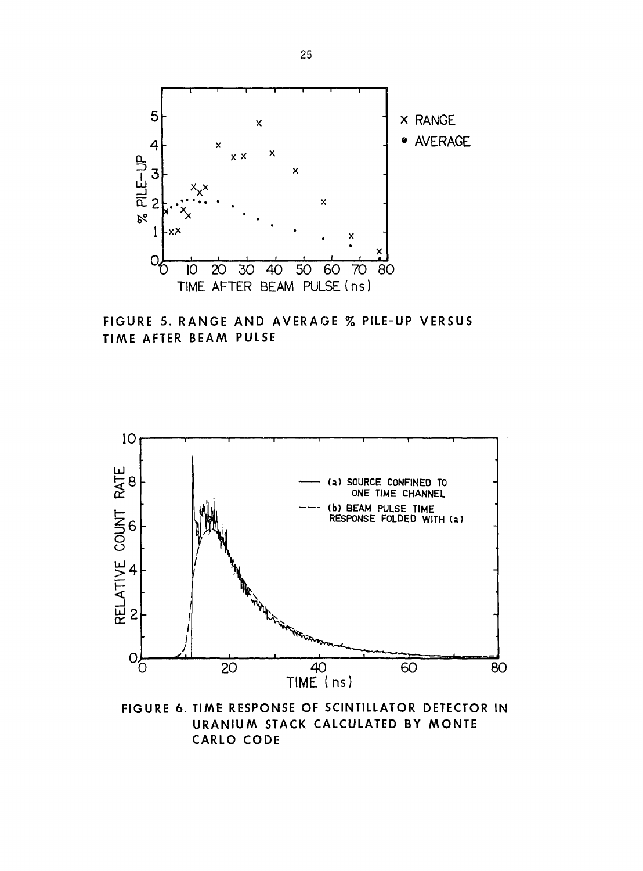

FIGURE 5. RANGE AND AVERAGE % PILE-UP VERSUS TIME AFTER BEAM PULSE



FIGURE 6. TIME RESPONSE OF SCINTILLATOR DETECTOR IN URANIUM STACK CALCULATED BY MONTE **CARLO CODE**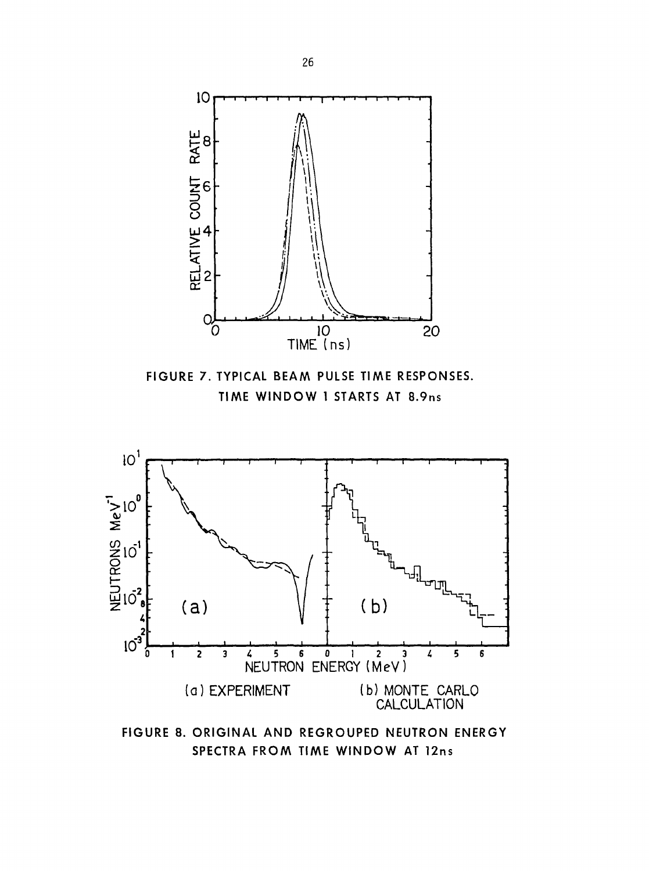

**SPECTRA FROM TIME WINDOW AT 12ns**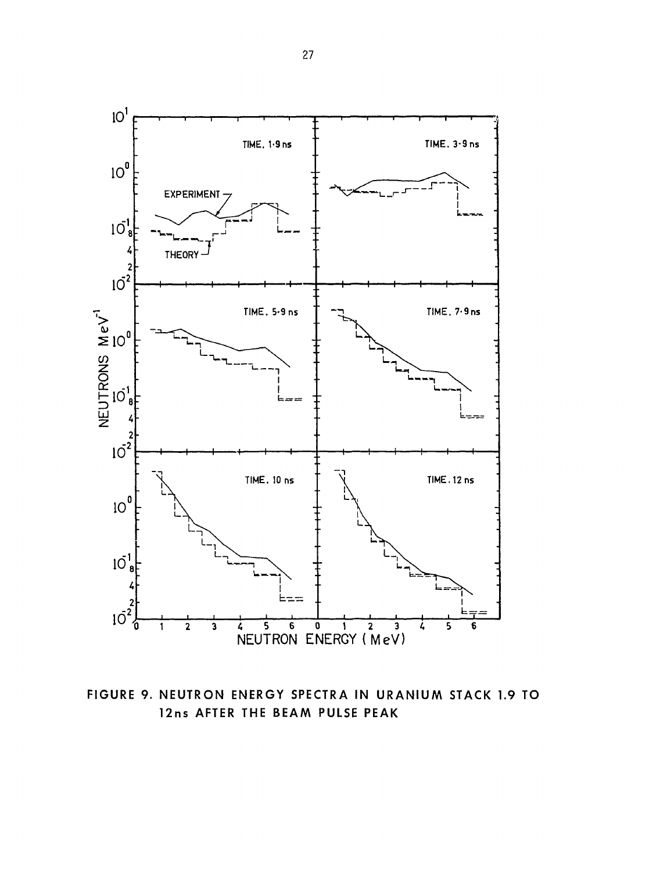

FIGURE 9. NEUTRON ENERGY SPECTRA IN URANIUM STACK 1.9 TO 12ns AFTER THE BEAM PULSE PEAK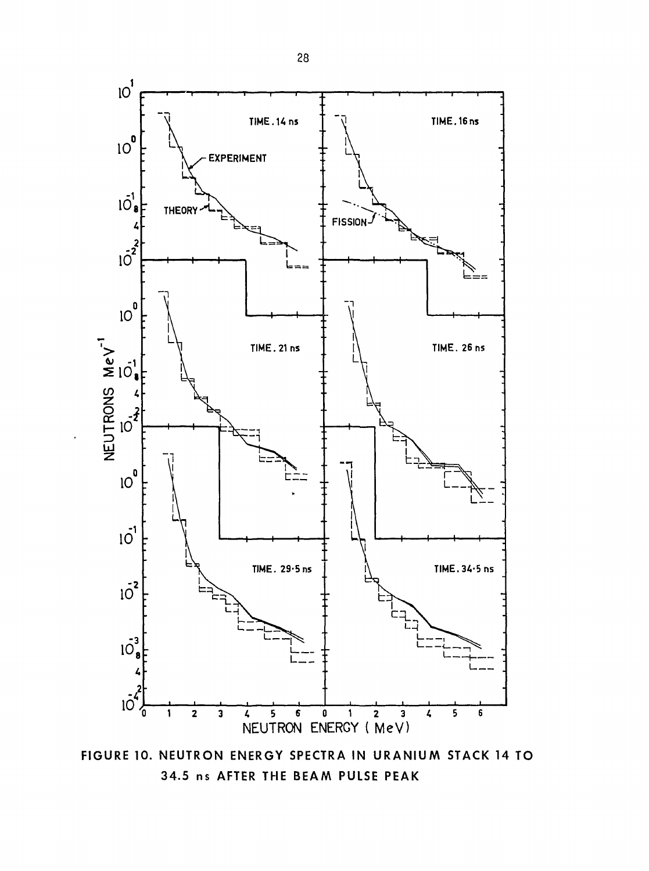

FIGURE 10. NEUTRON ENERGY SPECTRA IN URANIUM STACK 14 TO 34.5 ns AFTER THE BEAM PULSE PEAK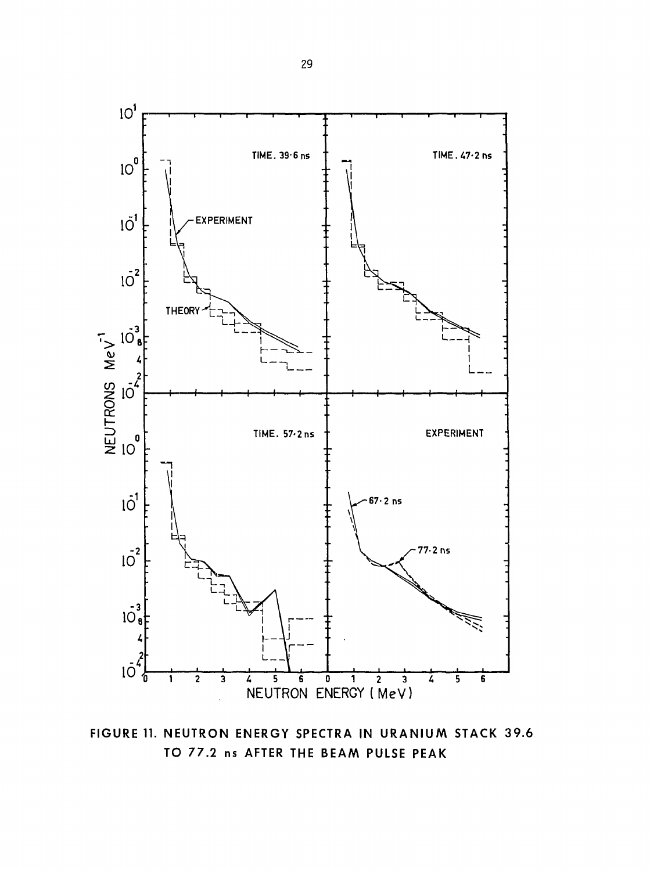

FIGURE 11. NEUTRON ENERGY SPECTRA IN URANIUM STACK 39.6 TO 77.2 ns AFTER THE BEAM PULSE PEAK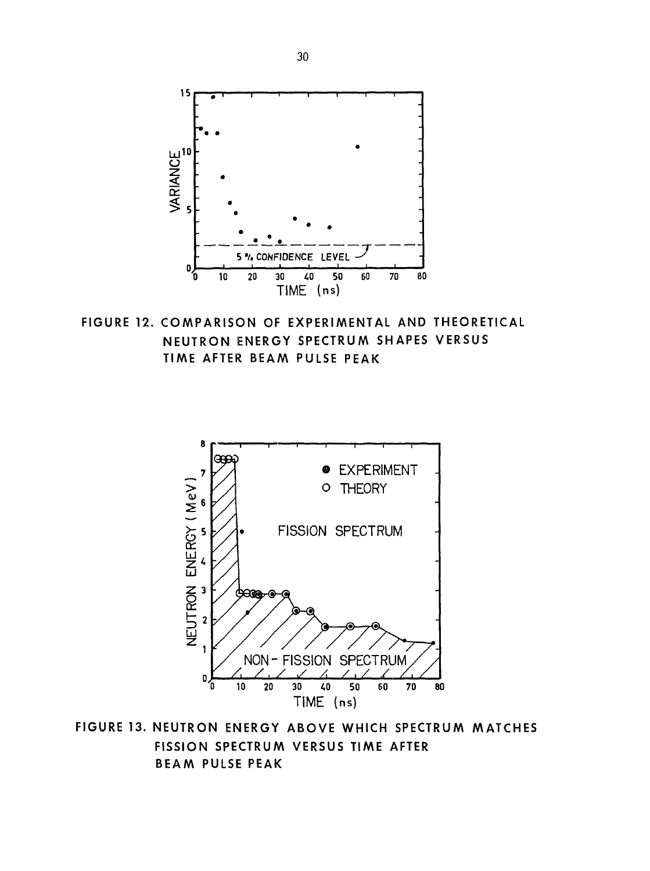

FIGURE 12. COMPARISON OF EXPERIMENTAL AND THEORETICAL NEUTRON ENERGY SPECTRUM SHAPES VERSUS TIME AFTER BEAM PULSE PEAK



FIGURE 13. NEUTRON ENERGY ABOVE WHICH SPECTRUM MATCHES FISSION SPECTRUM VERSUS TIME AFTER BEAM PULSE PEAK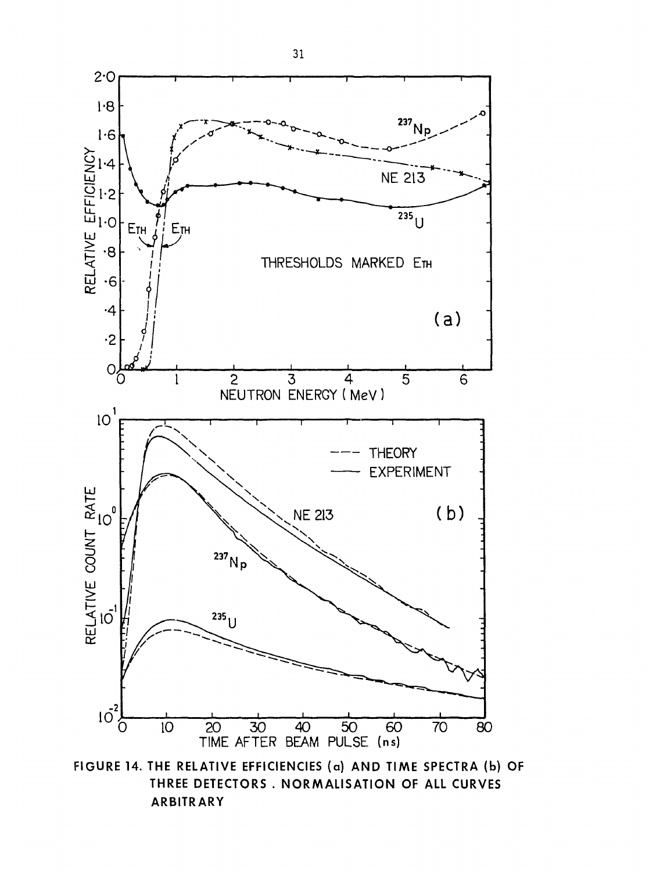

**FIGURE 14. THE RELATIVE EFFICIENCIES (a) AND TIME SPECTRA (b) OF THREE DETECTORS . NORMALISATION OF ALL CURVES ARBITRARY**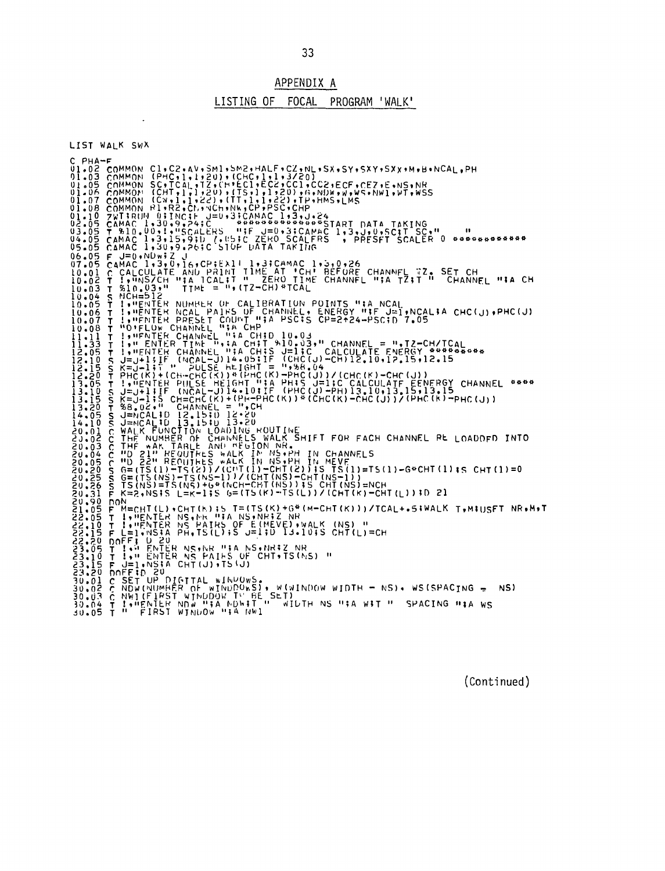APPENDIX A

#### LISTING OF FOCAL PROGRAM 'WALK'

LIST WALK SWX CPHA-F<br>
CPHA-F<br>
UI.02 COMMON CI,C2,AV,SM1,SM2,HALF,CZ,NL,SX,SY,SXY,SXY,M,B,NCAL,PH<br>
01.02 COMMON (PHC,1,1,220),(CHC,1,1,2,220)<br>
UI.05 COMMON (CHT,1,1,220),(TS,1,1,200),(F,NDW,W,WS.NWI,WT,WSS<br>
01.06 COMMON (CHT,1,1,220),(TT 02105 (ARAC II 3115-0211) (1991) 11, 1992 (1992) (1992) (1992) (1992) (1992) (1992) (1992) (1992) (1992) (1992) (1992) (1992) (1992) (1992) (1992) (1992) (1992) (1992) (1992) (1992) (1992) (1992) (1992) (1992) (1992) (19 20.31 P K=2,NS15 L=K-1;5 G=(TS(K)-TS(L))/(CHT(K)-CHT(L));0 cl<br>20.31 P K=2,NS15 L=K-1;5 G=(TS(K)-G\*(M-CHT(K)))/TCAL+.5;WALK T,MIUSFT NR.M.T<br>22.05 P M=CHT(L),CHT(K))5 T=(TS(K)+G\*(M-CHT(K)))/TCAL+.5;WALK T,MIUSFT NR.M.T<br>22.05

33

(Continued)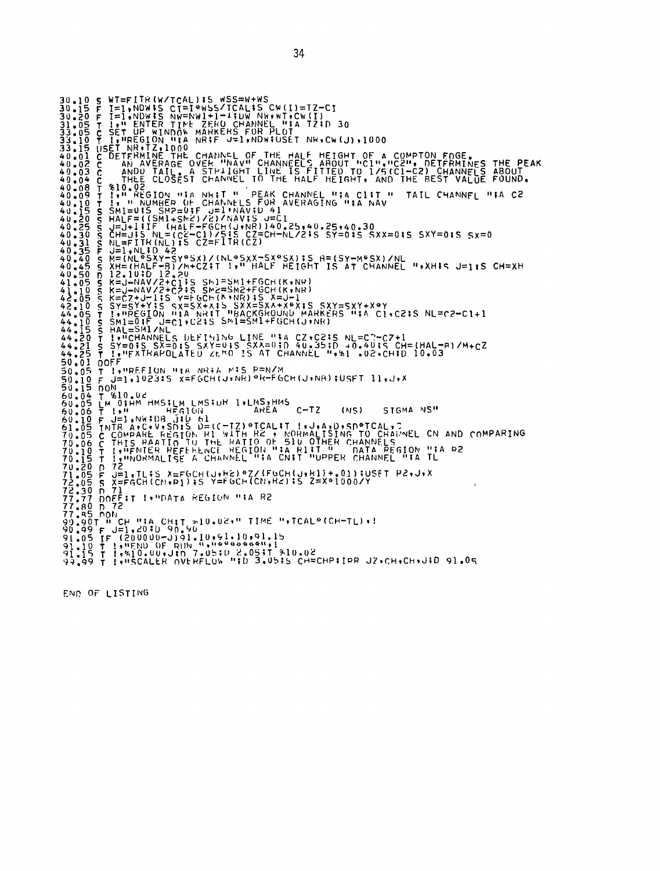30.10 S WT=FITR(W/TCAL);S WSS=W+WS<br>30.15 F I=1,NDW;S CT=1\*WSS/TCAL;S CW(I)=TZ-CI<br>30.20 F I=1,NDW;S NW=NW1+1-4;DW NW;WT.CW(I)<br>31.05 T I:" ENTER TIME ZERO CHANNEL ";A TZ;D 30<br>33.16 C SET UP WINDOW MARKELS FOR PLOT NK,CW(J),1 33.10 T. IT MESITON WAS RRPP J2.1, WORKET NET WATER (2019)1000<br>2011 USE THE REAL OF A CONTRACT OF THE HALF PEODIC OF A COMPTON FROM THE PEAK<br>2010 CORPORATION TO THE PARAMOLIT OF THE THEORY OF A COMPTON FROM THE PEAK<br>2010 T !, MREFION MIA NRIA MIS P=N/M<br>T !, MREFION MIA NRIA MIS P=N/M<br>F J=1,1023:S X=FGCH(J+NR)\*R=FGCH(J+NR);USFT 11,J+X  $50.05$ 91.05 C COMPARE REGITY THE RAILWAY 114 RIND-PER CHANNEL "14 IL<br>10.06 C THIS PAAITGE A CHANNEL "14 CNIT "UPPER CHANNEL "14 IL<br>10.15 T I, WORMALISE A CHANNEL "14 CNIT "UPPER CHANNEL "14 IL<br>71.25 T J=1,1115 X=FGCH(CN-R1);5 Y=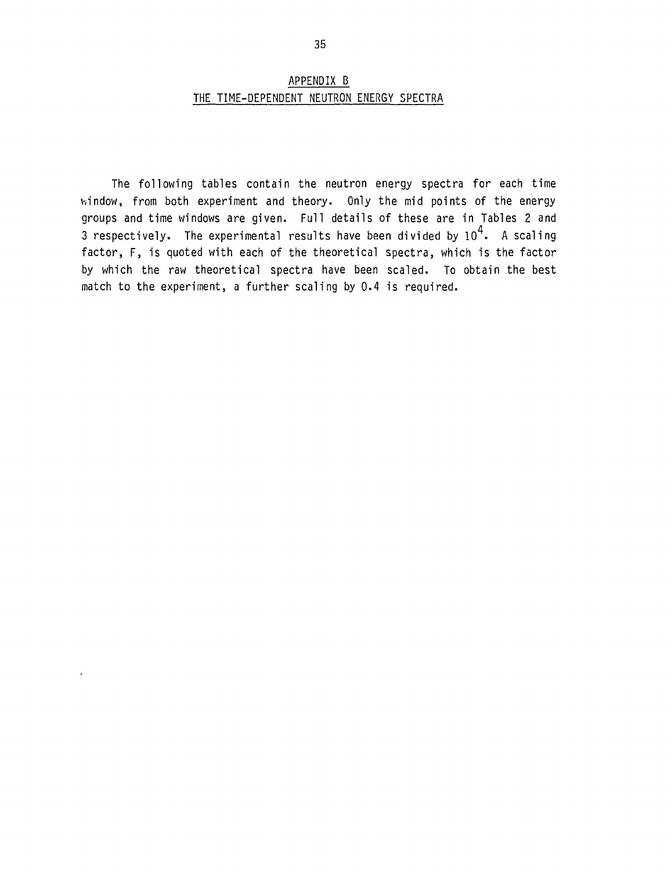### APPENDIX B THE TIME-DEPENDENT NEUTRON ENERGY SPECTRA

The following tables contain the neutron energy spectra for each time window, from both experiment and theory. Only the mid points of the energy groups and time windows are given. Full details of these are in Tables 2 and 3 respectively. The experimental results have been divided by  $10^4$ . A scaling factor, F, is quoted with each of the theoretical spectra, which is the factor by which the raw theoretical spectra have been scaled. To obtain the best match to the experiment, a further scaling by 0.4 is required.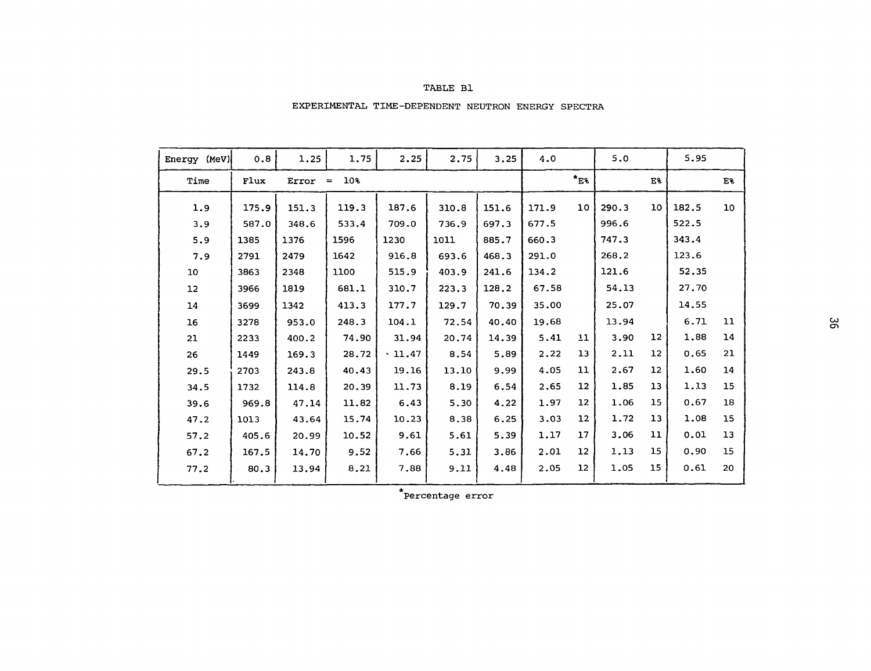#### TABLE Bl

#### EXPERIMENTAL TIME-DEPENDENT NEUTRON ENERGY SPECTRA

| Energy (MeV) | 0.8   | 1.25  | 1.75            | 2.25   | 2.75  | 3.25  | 4.0   |                 | 5.0   |                   | 5.95  |    |
|--------------|-------|-------|-----------------|--------|-------|-------|-------|-----------------|-------|-------------------|-------|----|
| Time         | Flux  | Error | 10%<br>$\equiv$ |        |       |       |       | $*_{E3}$        |       | E%                |       | E% |
| 1.9          | 175.9 | 151.3 | 119.3           | 187.6  | 310.8 | 151.6 | 171.9 | 10              | 290.3 | 10                | 182.5 | 10 |
| 3.9          | 587.0 | 348.6 | 533.4           | 709.0  | 736.9 | 697.3 | 677.5 |                 | 996.6 |                   | 522.5 |    |
| 5.9          | 1385  | 1376  | 1596            | 1230   | 1011  | 885.7 | 660.3 |                 | 747.3 |                   | 343.4 |    |
| 7.9          | 2791  | 2479  | 1642            | 916.8  | 693.6 | 468.3 | 291.0 |                 | 268.2 |                   | 123.6 |    |
| 10           | 3863  | 2348  | 1100            | 515.9  | 403.9 | 241.6 | 134.2 |                 | 121.6 |                   | 52.35 |    |
| 12           | 3966  | 1819  | 681.1           | 310.7  | 223.3 | 128.2 | 67.58 |                 | 54.13 |                   | 27.70 |    |
| 14           | 3699  | 1342  | 413.3           | 177.7  | 129.7 | 70.39 | 35.00 |                 | 25.07 |                   | 14.55 |    |
| 16           | 3278  | 953.0 | 248.3           | 104.1  | 72.54 | 40.40 | 19.68 |                 | 13.94 |                   | 6.71  | 11 |
| 21           | 2233  | 400.2 | 74.90           | 31.94  | 20.74 | 14.39 | 5.41  | 11              | 3.90  | 12                | 1,88  | 14 |
| 26           | 1449  | 169.3 | 28.72           | .11.47 | 8.54  | 5.89  | 2.22  | 13              | 2.11  | $12 \overline{ }$ | 0.65  | 21 |
| 29.5         | 2703  | 243.8 | 40.43           | 19.16  | 13.10 | 9.99  | 4.05  | 11              | 2.67  | 12                | 1.60  | 14 |
| 34.5         | 1732  | 114.8 | 20.39           | 11.73  | 8.19  | 6.54  | 2.65  | 12              | 1.85  | 13                | 1.13  | 15 |
| 39.6         | 969.8 | 47.14 | 11.82           | 6.43   | 5.30  | 4.22  | 1.97  | 12              | 1.06  | 15                | 0.67  | 18 |
| 47.2         | 1013  | 43.64 | 15.74           | 10.23  | 8.38  | 6.25  | 3.03  | 12              | 1.72  | 13                | 1.08  | 15 |
| 57.2         | 405.6 | 20.99 | 10.52           | 9.61   | 5.61  | 5.39  | 1.17  | 17              | 3.06  | 11                | 0.01  | 13 |
| 67.2         | 167.5 | 14.70 | 9.52            | 7.66   | 5.31  | 3.86  | 2.01  | 12 <sup>2</sup> | 1.13  | 15                | 0.90  | 15 |
| 77.2         | 80.3  | 13.94 | 8.21            | 7.88   | 9.11  | 4.48  | 2.05  | 12 <sup>2</sup> | 1.05  | 15                | 0.61  | 20 |
|              |       |       |                 |        |       |       |       |                 |       |                   |       |    |

\*Percentage error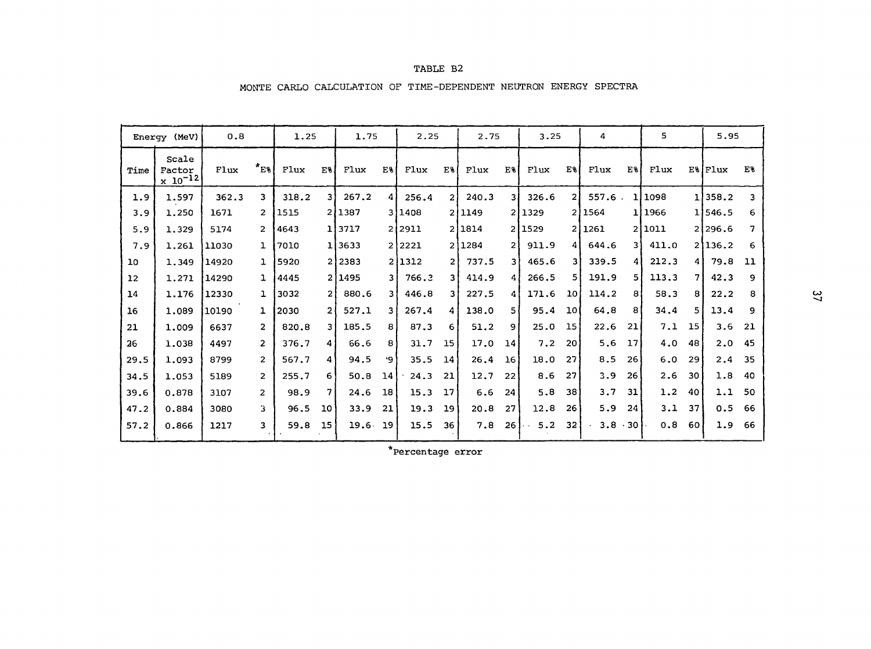| (MeV)<br>Energy |                                   | 0.8   |                | 1.25  |                | 1.75              |                | 2.25   |     | 2.75   |                 | 3.25   |                 | 4     |                 | 5      |    | 5.95              |    |
|-----------------|-----------------------------------|-------|----------------|-------|----------------|-------------------|----------------|--------|-----|--------|-----------------|--------|-----------------|-------|-----------------|--------|----|-------------------|----|
| Time            | Scale<br>Factor<br>$x_{10}^{-12}$ | Flux  | $x_{E3}$       | Flux  | E%             | Flux              | E%             | Flux   | E%  | Flux   | E%              | Flux   | E%              | Flux  | E%              | Flux   |    | $E\$ $F$ $l$ $ux$ | E% |
| 1.9             | 1.597                             | 362.3 | 3              | 318.2 | 31             | 267.2             | 4              | 256.4  | 21  | 240.3  | 31              | 326.6  | 2 Ì             | 557.6 |                 | 1,1098 |    | 1,358.2           | 3  |
| 3.9             | 1.250                             | 1671  | $\overline{2}$ | 1515  |                | 211387            |                | 311408 |     | 211149 | 21              | 1329   | $\overline{2}$  | 1564  |                 | 11966  |    | 1,546.5           | 6  |
| 5.9             | 1.329                             | 5174  | $\overline{2}$ | 4643  |                | 113717            | 21             | 12911  |     | 211814 |                 | 211529 | $\overline{2}$  | 1261  |                 | 211011 |    | 21296.6           | 7  |
| 7.9             | 1.261                             | 11030 | $\mathbf{1}$   | 7010  |                | 113633            | $\overline{2}$ | 2221   | ا 2 | 1284   | 2١              | 911.9  | 41              | 644.6 | 31              | 411.0  |    | 2136.2            | 6  |
| 10              | 1.349                             | 14920 | $\mathbf{1}$   | 5920  | 2              | 2383              |                | 21312  | 21  | 737.5  | 3 I             | 465.6  | 31              | 339.5 | $\overline{4}$  | 212.3  | 4  | 79.8              | 11 |
| 12              | 1.271                             | 14290 | $\mathbf{1}$   | 4445  |                | 211495            | 3.             | 766.3  | 31  | 414.9  | 41              | 266.5  | 5               | 191.9 | 5 <sub>l</sub>  | 113.3  | 7  | 42.3              | 9  |
| 14              | 1.176                             | 12330 | $\mathbf{1}$   | 3032  | 2              | 880.6             | 3              | 446.8  | 31  | 227.5  | 4               | 171.6  | 10 <sub>o</sub> | 114.2 | 8               | 58.3   | 8  | 22.2              | 8  |
| 16              | 1.089                             | 10190 | $\mathbf{1}$   | 2030  | $\overline{2}$ | 527.1             | 3              | 267.4  | 4   | 138.0  | 5 I             | 95.4   | 10 <sup>1</sup> | 64.8  | 8               | 34,4   | 5. | 13.4              | 9  |
| 21              | 1.009                             | 6637  | $\overline{2}$ | 820.8 | 3              | 185.5             | 8              | 87.3   | 6   | 51.2   | 9               | 25.0   | 15              | 22.6  | 21              | 7.1    | 15 | 3.6               | 21 |
| 26              | 1.038                             | 4497  | $\overline{2}$ | 376.7 | 4              | 66.6              | 8              | 31.7   | 15  | 17.0   | 14 <sup>1</sup> | 7.2    | 20              | 5.6   | 17 <sup>1</sup> | 4.0    | 48 | 2.0               | 45 |
| 29.5            | 1.093                             | 8799  | $\overline{2}$ | 567.7 | 4              | 94.5              | ۰9۰            | 35.5   | 14  | 26.4   | 16 <sup>°</sup> | 18.0   | 27              | 8.5   | 26              | 6.0    | 29 | 2.4               | 35 |
| 34.5            | 1.053                             | 5189  | $\overline{2}$ | 255.7 | 6              | 50.8              | 14             | 24.3   | 21  | 12.7   | 22              | 8.6    | 27              | 3.9   | 26              | 2.6    | 30 | 1.8               | 40 |
| 39.6            | 0.878                             | 3107  | $\overline{2}$ | 98.9  | 7              | 24.6              | 18             | 15.3   | 17  | 6.6    | 24              | 5.8    | 38              | 3.7   | 31              | 1.2    | 40 | 1.1               | 50 |
| 47.2            | 0.884                             | 3080  | 3.             | 96.5  | 10             | 33.9              | 21             | 19.3   | 19  | 20.8   | 27              | 12.8   | 26              | 5.9   | 24 <sup>1</sup> | 3.1    | 37 | 0.5               | 66 |
| 57.2            | 0.866                             | 1217  | 3              | 59.8  | 15             | 19.6 <sub>1</sub> | 19             | 15.5   | 36  | 7.8    | 26              | 5.2    | 32              | 3.8   | $+301$          | 0.8    | 60 | 1.9               | 66 |

## TABLE B2

MONTE CARLO CALCULATION OF TIME-DEPENDENT NEUTRON ENERGY SPECTRA

**Percentage error**